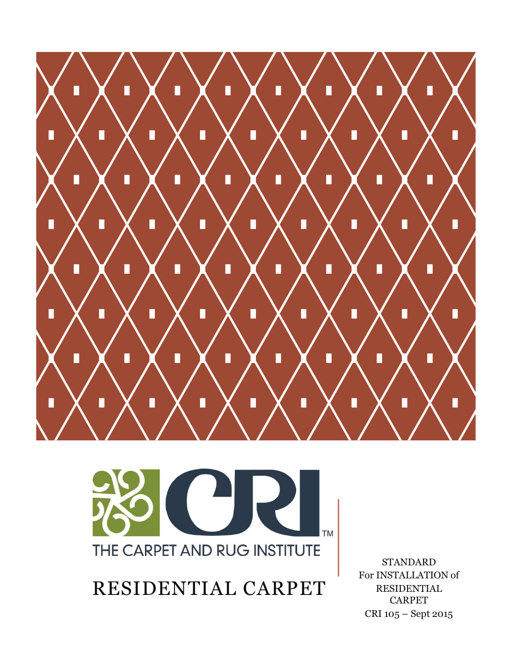



RESIDENTIAL CARPET

STANDARD For INSTALLATION of RESIDENTIAL CARPET CRI 105 – Sept 2015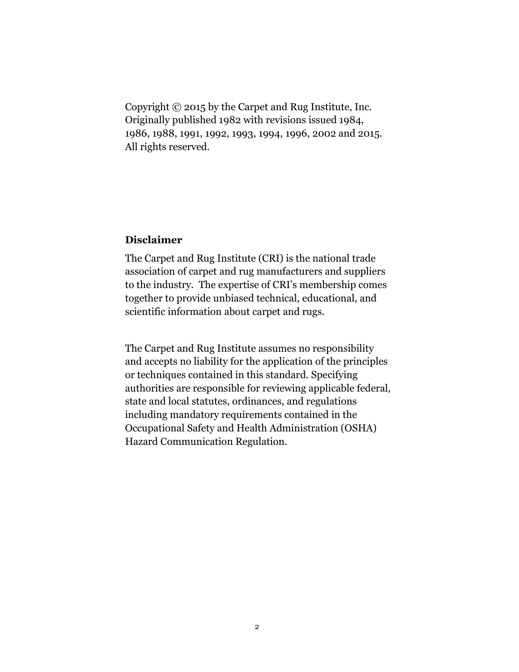Copyright © 2015 by the Carpet and Rug Institute, Inc. Originally published 1982 with revisions issued 1984, 1986, 1988, 1991, 1992, 1993, 1994, 1996, 2002 and 2015. All rights reserved.

#### **Disclaimer**

The Carpet and Rug Institute (CRI) is the national trade association of carpet and rug manufacturers and suppliers to the industry. The expertise of CRI's membership comes together to provide unbiased technical, educational, and scientific information about carpet and rugs.

The Carpet and Rug Institute assumes no responsibility and accepts no liability for the application of the principles or techniques contained in this standard. Specifying authorities are responsible for reviewing applicable federal, state and local statutes, ordinances, and regulations including mandatory requirements contained in the Occupational Safety and Health Administration (OSHA) Hazard Communication Regulation.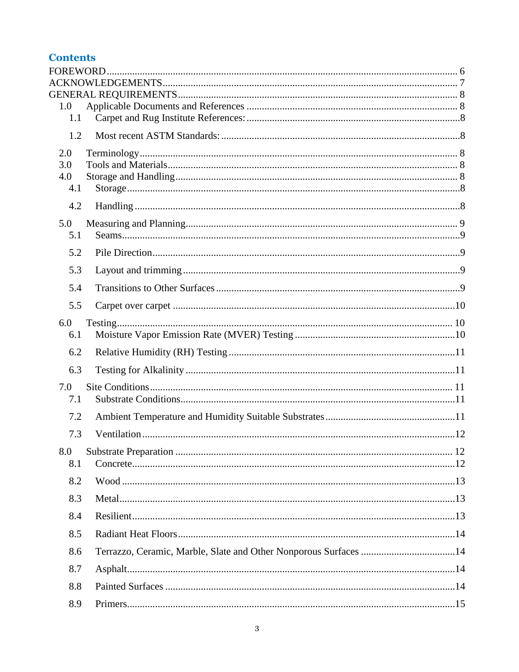## **Contents**

| 1.0 |  |
|-----|--|
| 1.1 |  |
| 1.2 |  |
| 2.0 |  |
| 3.0 |  |
| 4.0 |  |
| 4.1 |  |
| 4.2 |  |
| 5.0 |  |
| 5.1 |  |
| 5.2 |  |
| 5.3 |  |
| 5.4 |  |
| 5.5 |  |
| 6.0 |  |
| 6.1 |  |
| 6.2 |  |
| 6.3 |  |
| 7.0 |  |
| 7.1 |  |
| 7.2 |  |
| 7.3 |  |
| 8.0 |  |
| 8.1 |  |
| 8.2 |  |
| 8.3 |  |
| 8.4 |  |
| 8.5 |  |
| 8.6 |  |
| 8.7 |  |
| 8.8 |  |
| 8.9 |  |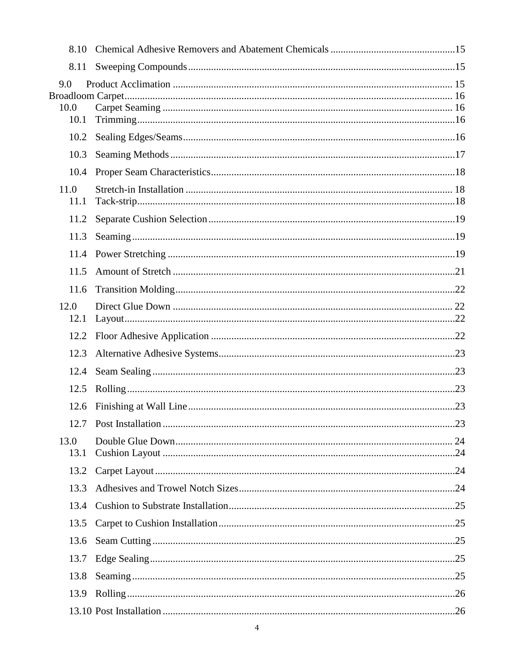| 8.10                |  |
|---------------------|--|
| 8.11                |  |
| 9.0<br>10.0<br>10.1 |  |
| 10.2                |  |
| 10.3                |  |
| 10.4                |  |
| 11.0<br>11.1        |  |
| 11.2                |  |
| 11.3                |  |
| 11.4                |  |
| 11.5                |  |
| 11.6                |  |
| 12.0<br>12.1        |  |
| 12.2                |  |
| 12.3                |  |
| 12.4                |  |
| 12.5                |  |
| 12.6                |  |
|                     |  |
| 13.0<br>13.1        |  |
| 13.2                |  |
| 13.3                |  |
| 13.4                |  |
| 13.5                |  |
| 13.6                |  |
| 13.7                |  |
| 13.8                |  |
| 13.9                |  |
|                     |  |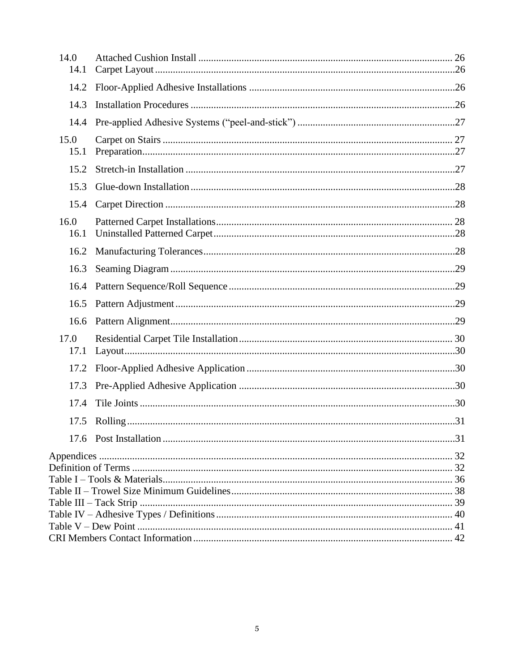| 14.0<br>14.1 |  |  |  |  |
|--------------|--|--|--|--|
| 14.2         |  |  |  |  |
| 14.3         |  |  |  |  |
| 14.4         |  |  |  |  |
| 15.0<br>15.1 |  |  |  |  |
| 15.2         |  |  |  |  |
| 15.3         |  |  |  |  |
| 15.4         |  |  |  |  |
| 16.0<br>16.1 |  |  |  |  |
| 16.2         |  |  |  |  |
| 16.3         |  |  |  |  |
| 16.4         |  |  |  |  |
| 16.5         |  |  |  |  |
| 16.6         |  |  |  |  |
| 17.0<br>17.1 |  |  |  |  |
| 17.2         |  |  |  |  |
| 17.3         |  |  |  |  |
| 17.4         |  |  |  |  |
| 17.5         |  |  |  |  |
|              |  |  |  |  |
|              |  |  |  |  |
|              |  |  |  |  |
|              |  |  |  |  |
|              |  |  |  |  |
|              |  |  |  |  |
|              |  |  |  |  |
|              |  |  |  |  |
|              |  |  |  |  |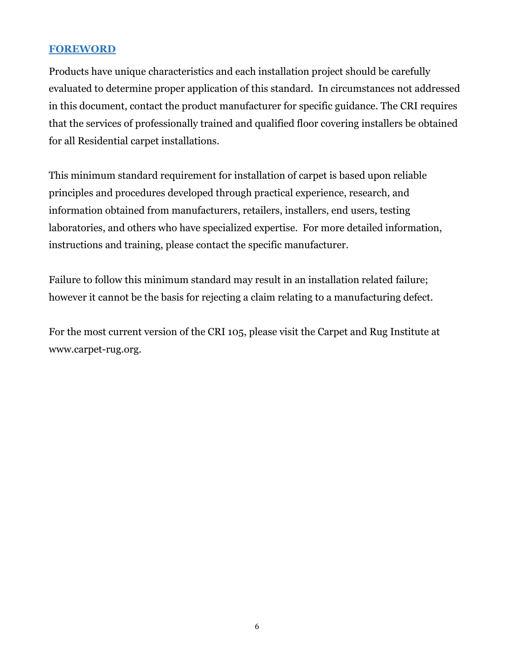## <span id="page-5-0"></span>**FOREWORD**

Products have unique characteristics and each installation project should be carefully evaluated to determine proper application of this standard. In circumstances not addressed in this document, contact the product manufacturer for specific guidance. The CRI requires that the services of professionally trained and qualified floor covering installers be obtained for all Residential carpet installations.

This minimum standard requirement for installation of carpet is based upon reliable principles and procedures developed through practical experience, research, and information obtained from manufacturers, retailers, installers, end users, testing laboratories, and others who have specialized expertise. For more detailed information, instructions and training, please contact the specific manufacturer.

Failure to follow this minimum standard may result in an installation related failure; however it cannot be the basis for rejecting a claim relating to a manufacturing defect.

For the most current version of the CRI 105, please visit the Carpet and Rug Institute at www.carpet-rug.org.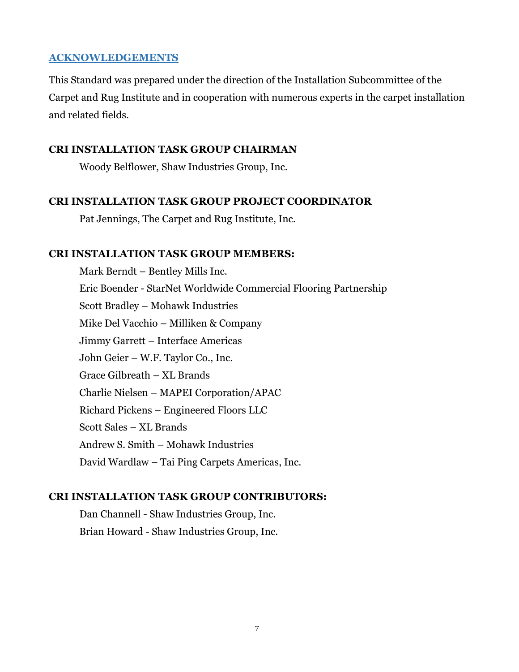#### <span id="page-6-0"></span>**ACKNOWLEDGEMENTS**

This Standard was prepared under the direction of the Installation Subcommittee of the Carpet and Rug Institute and in cooperation with numerous experts in the carpet installation and related fields.

#### **CRI INSTALLATION TASK GROUP CHAIRMAN**

Woody Belflower, Shaw Industries Group, Inc.

#### **CRI INSTALLATION TASK GROUP PROJECT COORDINATOR**

Pat Jennings, The Carpet and Rug Institute, Inc.

#### **CRI INSTALLATION TASK GROUP MEMBERS:**

Mark Berndt – Bentley Mills Inc. Eric Boender - StarNet Worldwide Commercial Flooring Partnership Scott Bradley – Mohawk Industries Mike Del Vacchio – Milliken & Company Jimmy Garrett – Interface Americas John Geier – W.F. Taylor Co., Inc. Grace Gilbreath – XL Brands Charlie Nielsen – MAPEI Corporation/APAC Richard Pickens – Engineered Floors LLC Scott Sales – XL Brands Andrew S. Smith – Mohawk Industries David Wardlaw – Tai Ping Carpets Americas, Inc.

#### **CRI INSTALLATION TASK GROUP CONTRIBUTORS:**

Dan Channell - Shaw Industries Group, Inc. Brian Howard - Shaw Industries Group, Inc.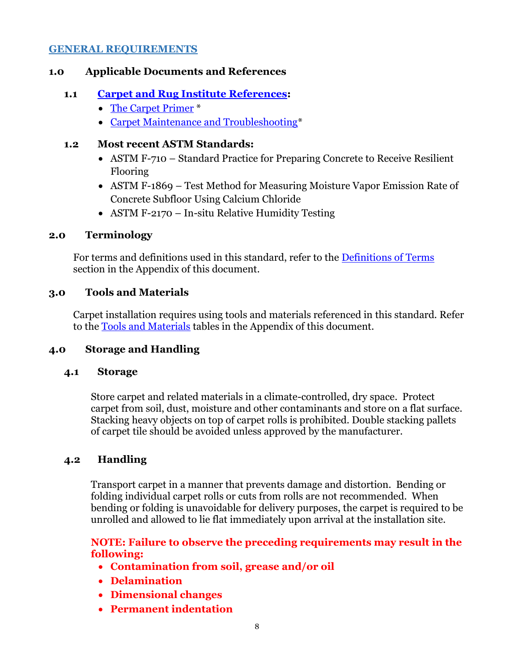#### <span id="page-7-0"></span>**GENERAL REQUIREMENTS**

### <span id="page-7-1"></span>**1.0 Applicable Documents and References**

## **1.1 [Carpet and Rug Institute References:](http://www.carpet-rug.org/Industry-Resources/Technical-Bulletins-and-Papers.aspx)**

- <span id="page-7-2"></span>[The Carpet Primer](https://www.google.com/url?sa=t&rct=j&q=&esrc=s&source=web&cd=1&cad=rja&uact=8&ved=0CB4QFjAA&url=http%3A%2F%2Fwww.carpet-rug.org%2FDocuments%2FPublications%2F029_The_Carpet_Primer.aspx&ei=UKxQVaDTGoXBggTggoGYDA&usg=AFQjCNGuTArTEz-A8FOBuxTky08orzIRLA) \*
- [Carpet Maintenance and Troubleshooting\\*](http://www.carpet-rug.org/Documents/Technical_Bulletins/2008_Carpet_Maintenance_and_Troubleshooting.pdf)

## <span id="page-7-3"></span>**1.2 Most recent ASTM Standards:**

- ASTM F-710 Standard Practice for Preparing Concrete to Receive Resilient Flooring
- ASTM F-1869 Test Method for Measuring Moisture Vapor Emission Rate of Concrete Subfloor Using Calcium Chloride
- ASTM F-2170 In-situ Relative Humidity Testing

## <span id="page-7-4"></span>**2.0 Terminology**

For terms and definitions used in this standard, refer to the [Definitions of](#page-31-1) Terms section in the Appendix of this document.

## <span id="page-7-5"></span>**3.0 Tools and Materials**

Carpet installation requires using tools and materials referenced in this standard. Refer to the Tools and Materials tables in the Appendix of this document.

## <span id="page-7-6"></span>**4.0 Storage and Handling**

#### <span id="page-7-7"></span>**4.1 Storage**

Store carpet and related materials in a climate-controlled, dry space. Protect carpet from soil, dust, moisture and other contaminants and store on a flat surface. Stacking heavy objects on top of carpet rolls is prohibited. Double stacking pallets of carpet tile should be avoided unless approved by the manufacturer.

## <span id="page-7-8"></span>**4.2 Handling**

Transport carpet in a manner that prevents damage and distortion. Bending or folding individual carpet rolls or cuts from rolls are not recommended. When bending or folding is unavoidable for delivery purposes, the carpet is required to be unrolled and allowed to lie flat immediately upon arrival at the installation site.

## **NOTE: Failure to observe the preceding requirements may result in the following:**

- **Contamination from soil, grease and/or oil**
- **Delamination**
- **Dimensional changes**
- **Permanent indentation**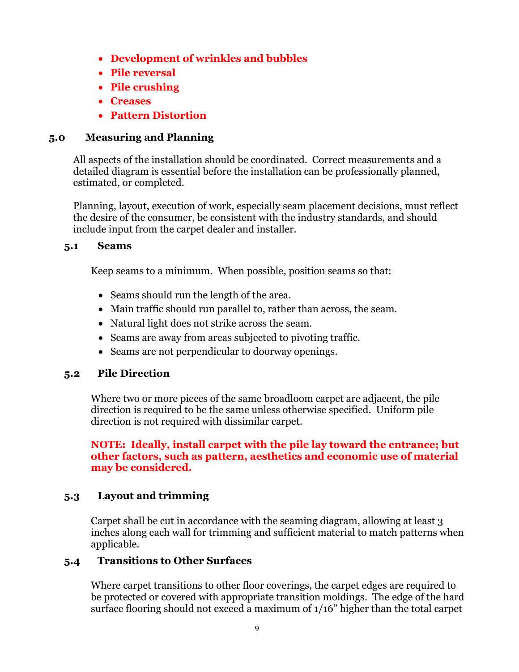- **Development of wrinkles and bubbles**
- **Pile reversal**
- **Pile crushing**
- **Creases**
- **Pattern Distortion**

## <span id="page-8-0"></span>**5.0 Measuring and Planning**

All aspects of the installation should be coordinated. Correct measurements and a detailed diagram is essential before the installation can be professionally planned, estimated, or completed.

Planning, layout, execution of work, especially seam placement decisions, must reflect the desire of the consumer, be consistent with the industry standards, and should include input from the carpet dealer and installer.

## <span id="page-8-1"></span>**5.1 Seams**

Keep seams to a minimum. When possible, position seams so that:

- Seams should run the length of the area.
- Main traffic should run parallel to, rather than across, the seam.
- Natural light does not strike across the seam.
- Seams are away from areas subjected to pivoting traffic.
- Seams are not perpendicular to doorway openings.

## <span id="page-8-2"></span>**5.2 Pile Direction**

Where two or more pieces of the same broadloom carpet are adjacent, the pile direction is required to be the same unless otherwise specified. Uniform pile direction is not required with dissimilar carpet.

### **NOTE: Ideally, install carpet with the pile lay toward the entrance; but other factors, such as pattern, aesthetics and economic use of material may be considered.**

## <span id="page-8-3"></span>**5.3 Layout and trimming**

Carpet shall be cut in accordance with the seaming diagram, allowing at least 3 inches along each wall for trimming and sufficient material to match patterns when applicable.

## <span id="page-8-4"></span>**5.4 Transitions to Other Surfaces**

Where carpet transitions to other floor coverings, the carpet edges are required to be protected or covered with appropriate transition moldings. The edge of the hard surface flooring should not exceed a maximum of 1/16" higher than the total carpet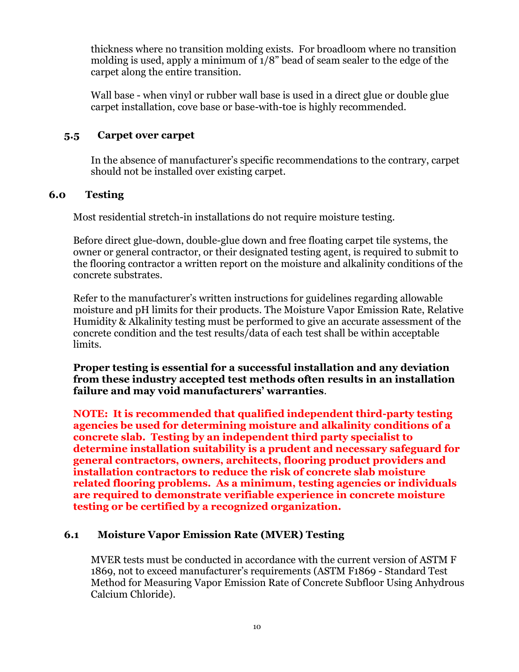thickness where no transition molding exists. For broadloom where no transition molding is used, apply a minimum of 1/8" bead of seam sealer to the edge of the carpet along the entire transition.

Wall base - when vinyl or rubber wall base is used in a direct glue or double glue carpet installation, cove base or base-with-toe is highly recommended.

## <span id="page-9-0"></span>**5.5 Carpet over carpet**

In the absence of manufacturer's specific recommendations to the contrary, carpet should not be installed over existing carpet.

## <span id="page-9-1"></span>**6.0 Testing**

Most residential stretch-in installations do not require moisture testing.

Before direct glue-down, double-glue down and free floating carpet tile systems, the owner or general contractor, or their designated testing agent, is required to submit to the flooring contractor a written report on the moisture and alkalinity conditions of the concrete substrates.

Refer to the manufacturer's written instructions for guidelines regarding allowable moisture and pH limits for their products. The Moisture Vapor Emission Rate, Relative Humidity & Alkalinity testing must be performed to give an accurate assessment of the concrete condition and the test results/data of each test shall be within acceptable limits.

**Proper testing is essential for a successful installation and any deviation from these industry accepted test methods often results in an installation failure and may void manufacturers' warranties**.

**NOTE: It is recommended that qualified independent third-party testing agencies be used for determining moisture and alkalinity conditions of a concrete slab. Testing by an independent third party specialist to determine installation suitability is a prudent and necessary safeguard for general contractors, owners, architects, flooring product providers and installation contractors to reduce the risk of concrete slab moisture related flooring problems. As a minimum, testing agencies or individuals are required to demonstrate verifiable experience in concrete moisture testing or be certified by a recognized organization.**

#### <span id="page-9-2"></span>**6.1 Moisture Vapor Emission Rate (MVER) Testing**

MVER tests must be conducted in accordance with the current version of ASTM F 1869, not to exceed manufacturer's requirements (ASTM F1869 - Standard Test Method for Measuring Vapor Emission Rate of Concrete Subfloor Using Anhydrous Calcium Chloride).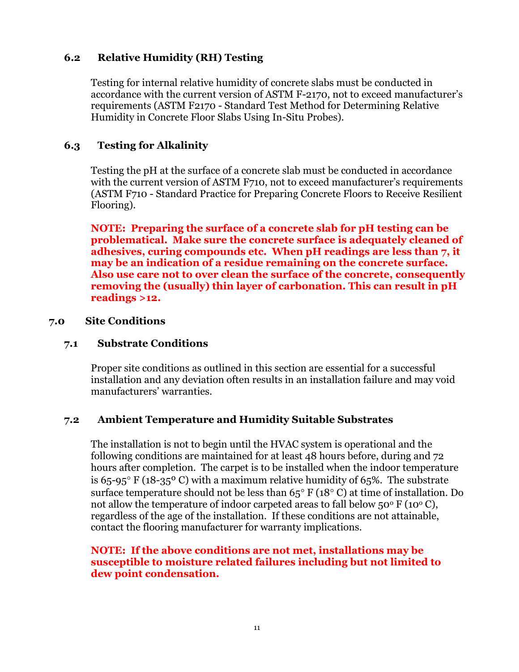## <span id="page-10-0"></span>**6.2 Relative Humidity (RH) Testing**

Testing for internal relative humidity of concrete slabs must be conducted in accordance with the current version of ASTM F-2170, not to exceed manufacturer's requirements (ASTM F2170 - Standard Test Method for Determining Relative Humidity in Concrete Floor Slabs Using In-Situ Probes).

## <span id="page-10-1"></span>**6.3 Testing for Alkalinity**

Testing the pH at the surface of a concrete slab must be conducted in accordance with the current version of ASTM F710, not to exceed manufacturer's requirements (ASTM F710 - Standard Practice for Preparing Concrete Floors to Receive Resilient Flooring).

**NOTE: Preparing the surface of a concrete slab for pH testing can be problematical. Make sure the concrete surface is adequately cleaned of adhesives, curing compounds etc. When pH readings are less than 7, it may be an indication of a residue remaining on the concrete surface. Also use care not to over clean the surface of the concrete, consequently removing the (usually) thin layer of carbonation. This can result in pH readings >12.**

#### <span id="page-10-2"></span>**7.0 Site Conditions**

#### <span id="page-10-3"></span>**7.1 Substrate Conditions**

Proper site conditions as outlined in this section are essential for a successful installation and any deviation often results in an installation failure and may void manufacturers' warranties.

#### <span id="page-10-4"></span>**7.2 Ambient Temperature and Humidity Suitable Substrates**

The installation is not to begin until the HVAC system is operational and the following conditions are maintained for at least 48 hours before, during and 72 hours after completion. The carpet is to be installed when the indoor temperature is 65-95 $\degree$  F (18-35 $\degree$  C) with a maximum relative humidity of 65%. The substrate surface temperature should not be less than  $65^{\circ}$  F (18 $^{\circ}$  C) at time of installation. Do not allow the temperature of indoor carpeted areas to fall below  $50^{\circ}$  F (10<sup>o</sup> C), regardless of the age of the installation. If these conditions are not attainable, contact the flooring manufacturer for warranty implications.

### **NOTE: If the above conditions are not met, installations may be susceptible to moisture related failures including but not limited to dew point condensation.**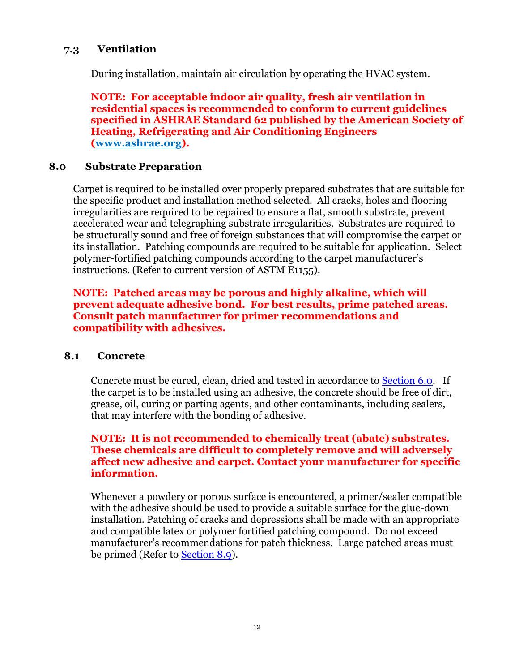## <span id="page-11-0"></span>**7.3 Ventilation**

During installation, maintain air circulation by operating the HVAC system.

**NOTE: For acceptable indoor air quality, fresh air ventilation in residential spaces is recommended to conform to current guidelines specified in ASHRAE Standard 62 published by the American Society of Heating, Refrigerating and Air Conditioning Engineers [\(www.ashrae.org\)](http://www.ashrae.org/).**

#### <span id="page-11-1"></span>**8.0 Substrate Preparation**

Carpet is required to be installed over properly prepared substrates that are suitable for the specific product and installation method selected. All cracks, holes and flooring irregularities are required to be repaired to ensure a flat, smooth substrate, prevent accelerated wear and telegraphing substrate irregularities. Substrates are required to be structurally sound and free of foreign substances that will compromise the carpet or its installation. Patching compounds are required to be suitable for application. Select polymer-fortified patching compounds according to the carpet manufacturer's instructions. (Refer to current version of ASTM E1155).

#### **NOTE: Patched areas may be porous and highly alkaline, which will prevent adequate adhesive bond. For best results, prime patched areas. Consult patch manufacturer for primer recommendations and compatibility with adhesives.**

#### <span id="page-11-2"></span>**8.1 Concrete**

Concrete must be cured, clean, dried and tested in accordance to [Section 6.0.](#page-9-1) If the carpet is to be installed using an adhesive, the concrete should be free of dirt, grease, oil, curing or parting agents, and other contaminants, including sealers, that may interfere with the bonding of adhesive.

#### **NOTE: It is not recommended to chemically treat (abate) substrates. These chemicals are difficult to completely remove and will adversely affect new adhesive and carpet. Contact your manufacturer for specific information.**

Whenever a powdery or porous surface is encountered, a primer/sealer compatible with the adhesive should be used to provide a suitable surface for the glue-down installation. Patching of cracks and depressions shall be made with an appropriate and compatible latex or polymer fortified patching compound. Do not exceed manufacturer's recommendations for patch thickness. Large patched areas must be primed (Refer to [Section 8.9\)](#page-14-4).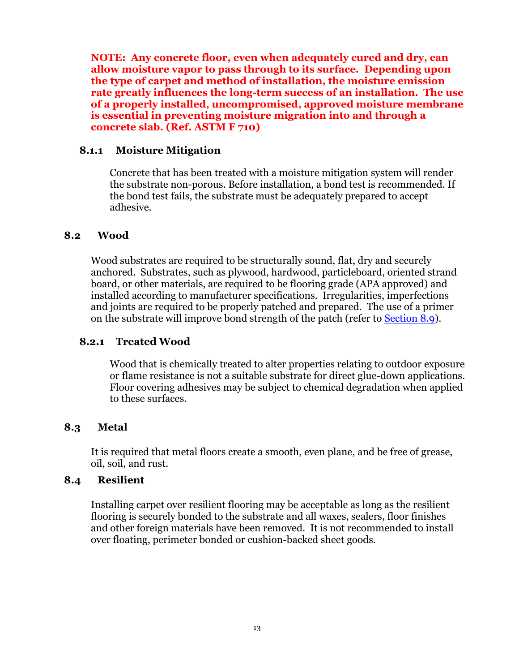**NOTE: Any concrete floor, even when adequately cured and dry, can allow moisture vapor to pass through to its surface. Depending upon the type of carpet and method of installation, the moisture emission rate greatly influences the long-term success of an installation. The use of a properly installed, uncompromised, approved moisture membrane is essential in preventing moisture migration into and through a concrete slab. (Ref. ASTM F 710)**

#### **8.1.1 Moisture Mitigation**

Concrete that has been treated with a moisture mitigation system will render the substrate non-porous. Before installation, a bond test is recommended. If the bond test fails, the substrate must be adequately prepared to accept adhesive.

#### <span id="page-12-0"></span>**8.2 Wood**

Wood substrates are required to be structurally sound, flat, dry and securely anchored. Substrates, such as plywood, hardwood, particleboard, oriented strand board, or other materials, are required to be flooring grade (APA approved) and installed according to manufacturer specifications. Irregularities, imperfections and joints are required to be properly patched and prepared. The use of a primer on the substrate will improve bond strength of the patch (refer to [Section 8.9](#page-14-4)).

#### **8.2.1 Treated Wood**

Wood that is chemically treated to alter properties relating to outdoor exposure or flame resistance is not a suitable substrate for direct glue-down applications. Floor covering adhesives may be subject to chemical degradation when applied to these surfaces.

#### <span id="page-12-1"></span>**8.3 Metal**

It is required that metal floors create a smooth, even plane, and be free of grease, oil, soil, and rust.

#### <span id="page-12-2"></span>**8.4 Resilient**

Installing carpet over resilient flooring may be acceptable as long as the resilient flooring is securely bonded to the substrate and all waxes, sealers, floor finishes and other foreign materials have been removed. It is not recommended to install over floating, perimeter bonded or cushion-backed sheet goods.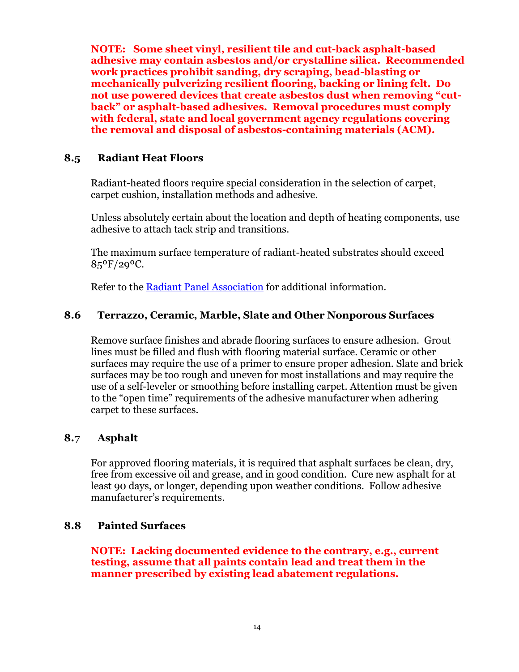**NOTE: Some sheet vinyl, resilient tile and cut-back asphalt-based adhesive may contain asbestos and/or crystalline silica. Recommended work practices prohibit sanding, dry scraping, bead-blasting or mechanically pulverizing resilient flooring, backing or lining felt. Do not use powered devices that create asbestos dust when removing "cutback" or asphalt-based adhesives. Removal procedures must comply with federal, state and local government agency regulations covering the removal and disposal of asbestos-containing materials (ACM).**

## <span id="page-13-0"></span>**8.5 Radiant Heat Floors**

Radiant-heated floors require special consideration in the selection of carpet, carpet cushion, installation methods and adhesive.

Unless absolutely certain about the location and depth of heating components, use adhesive to attach tack strip and transitions.

The maximum surface temperature of radiant-heated substrates should exceed  $85^{\circ}F/29^{\circ}C$ .

Refer to the [Radiant Panel Association](http://urlm.co/www.radiantpanelassociation.org) for additional information.

## <span id="page-13-1"></span>**8.6 Terrazzo, Ceramic, Marble, Slate and Other Nonporous Surfaces**

Remove surface finishes and abrade flooring surfaces to ensure adhesion. Grout lines must be filled and flush with flooring material surface. Ceramic or other surfaces may require the use of a primer to ensure proper adhesion. Slate and brick surfaces may be too rough and uneven for most installations and may require the use of a self-leveler or smoothing before installing carpet. Attention must be given to the "open time" requirements of the adhesive manufacturer when adhering carpet to these surfaces.

#### <span id="page-13-2"></span>**8.7 Asphalt**

For approved flooring materials, it is required that asphalt surfaces be clean, dry, free from excessive oil and grease, and in good condition. Cure new asphalt for at least 90 days, or longer, depending upon weather conditions. Follow adhesive manufacturer's requirements.

#### <span id="page-13-3"></span>**8.8 Painted Surfaces**

**NOTE: Lacking documented evidence to the contrary, e.g., current testing, assume that all paints contain lead and treat them in the manner prescribed by existing lead abatement regulations.**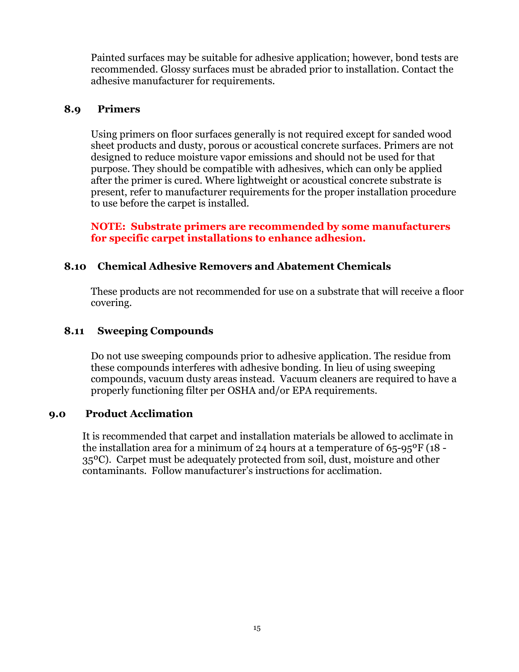<span id="page-14-4"></span>Painted surfaces may be suitable for adhesive application; however, bond tests are recommended. Glossy surfaces must be abraded prior to installation. Contact the adhesive manufacturer for requirements.

## <span id="page-14-0"></span>**8.9 Primers**

Using primers on floor surfaces generally is not required except for sanded wood sheet products and dusty, porous or acoustical concrete surfaces. Primers are not designed to reduce moisture vapor emissions and should not be used for that purpose. They should be compatible with adhesives, which can only be applied after the primer is cured. Where lightweight or acoustical concrete substrate is present, refer to manufacturer requirements for the proper installation procedure to use before the carpet is installed.

**NOTE: Substrate primers are recommended by some manufacturers for specific carpet installations to enhance adhesion.**

## <span id="page-14-1"></span>**8.10 Chemical Adhesive Removers and Abatement Chemicals**

These products are not recommended for use on a substrate that will receive a floor covering.

## <span id="page-14-2"></span>**8.11 Sweeping Compounds**

Do not use sweeping compounds prior to adhesive application. The residue from these compounds interferes with adhesive bonding. In lieu of using sweeping compounds, vacuum dusty areas instead. Vacuum cleaners are required to have a properly functioning filter per OSHA and/or EPA requirements.

#### <span id="page-14-3"></span>**9.0 Product Acclimation**

It is recommended that carpet and installation materials be allowed to acclimate in the installation area for a minimum of 24 hours at a temperature of 65-95ºF (18 - 35ºC). Carpet must be adequately protected from soil, dust, moisture and other contaminants. Follow manufacturer's instructions for acclimation.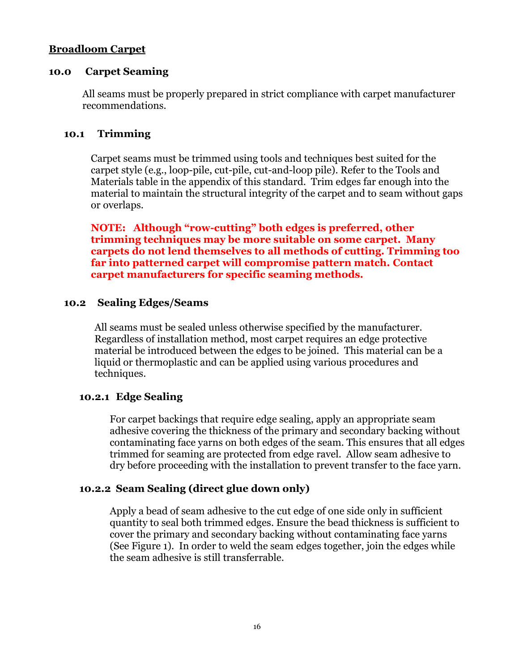#### <span id="page-15-0"></span>**Broadloom Carpet**

#### <span id="page-15-1"></span>**10.0 Carpet Seaming**

<span id="page-15-4"></span>All seams must be properly prepared in strict compliance with carpet manufacturer recommendations.

#### <span id="page-15-2"></span>**10.1 Trimming**

Carpet seams must be trimmed using tools and techniques best suited for the carpet style (e.g., loop-pile, cut-pile, cut-and-loop pile). Refer to the Tools and Materials table in the appendix of this standard. Trim edges far enough into the material to maintain the structural integrity of the carpet and to seam without gaps or overlaps.

**NOTE: Although "row-cutting" both edges is preferred, other trimming techniques may be more suitable on some carpet. Many carpets do not lend themselves to all methods of cutting. Trimming too far into patterned carpet will compromise pattern match. Contact carpet manufacturers for specific seaming methods.**

#### <span id="page-15-6"></span><span id="page-15-3"></span>**10.2 Sealing Edges/Seams**

All seams must be sealed unless otherwise specified by the manufacturer. Regardless of installation method, most carpet requires an edge protective material be introduced between the edges to be joined. This material can be a liquid or thermoplastic and can be applied using various procedures and techniques.

#### **10.2.1 Edge Sealing**

<span id="page-15-5"></span>For carpet backings that require edge sealing, apply an appropriate seam adhesive covering the thickness of the primary and secondary backing without contaminating face yarns on both edges of the seam. This ensures that all edges trimmed for seaming are protected from edge ravel. Allow seam adhesive to dry before proceeding with the installation to prevent transfer to the face yarn.

#### **10.2.2 Seam Sealing (direct glue down only)**

Apply a bead of seam adhesive to the cut edge of one side only in sufficient quantity to seal both trimmed edges. Ensure the bead thickness is sufficient to cover the primary and secondary backing without contaminating face yarns (See Figure 1). In order to weld the seam edges together, join the edges while the seam adhesive is still transferrable.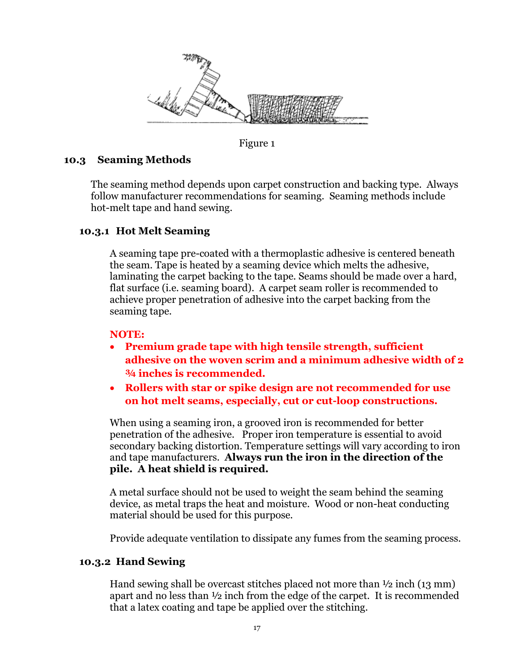

Figure 1

## <span id="page-16-0"></span>**10.3 Seaming Methods**

The seaming method depends upon carpet construction and backing type. Always follow manufacturer recommendations for seaming. Seaming methods include hot-melt tape and hand sewing.

## <span id="page-16-1"></span>**10.3.1 Hot Melt Seaming**

A seaming tape pre-coated with a thermoplastic adhesive is centered beneath the seam. Tape is heated by a seaming device which melts the adhesive, laminating the carpet backing to the tape. Seams should be made over a hard, flat surface (i.e. seaming board). A carpet seam roller is recommended to achieve proper penetration of adhesive into the carpet backing from the seaming tape.

#### **NOTE:**

- **Premium grade tape with high tensile strength, sufficient adhesive on the woven scrim and a minimum adhesive width of 2 ¾ inches is recommended.**
- **Rollers with star or spike design are not recommended for use on hot melt seams, especially, cut or cut-loop constructions.**

When using a seaming iron, a grooved iron is recommended for better penetration of the adhesive. Proper iron temperature is essential to avoid secondary backing distortion. Temperature settings will vary according to iron and tape manufacturers. **Always run the iron in the direction of the pile. A heat shield is required.**

A metal surface should not be used to weight the seam behind the seaming device, as metal traps the heat and moisture. Wood or non-heat conducting material should be used for this purpose.

Provide adequate ventilation to dissipate any fumes from the seaming process.

#### **10.3.2 Hand Sewing**

Hand sewing shall be overcast stitches placed not more than ½ inch (13 mm) apart and no less than ½ inch from the edge of the carpet. It is recommended that a latex coating and tape be applied over the stitching.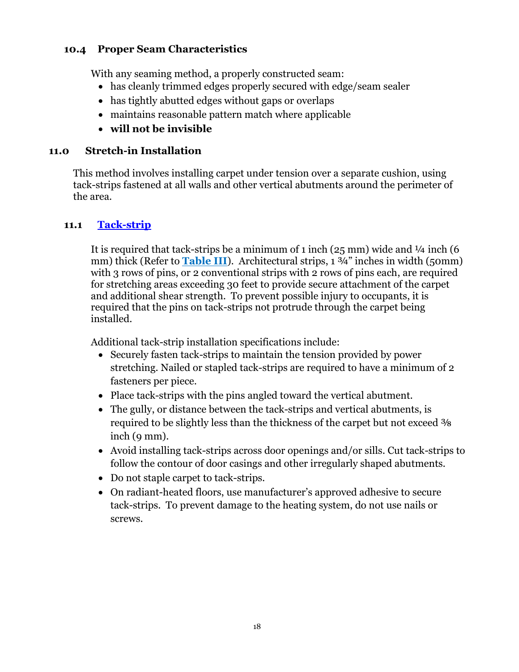## <span id="page-17-0"></span>**10.4 Proper Seam Characteristics**

With any seaming method, a properly constructed seam:

- has cleanly trimmed edges properly secured with edge/seam sealer
- has tightly abutted edges without gaps or overlaps
- maintains reasonable pattern match where applicable
- **will not be invisible**

## <span id="page-17-1"></span>**11.0 Stretch-in Installation**

This method involves installing carpet under tension over a separate cushion, using tack-strips fastened at all walls and other vertical abutments around the perimeter of the area.

## **11.1 [Tack-strip](#page-40-1)**

<span id="page-17-2"></span>It is required that tack-strips be a minimum of 1 inch  $(25 \text{ mm})$  wide and  $\frac{1}{4}$  inch  $(6 \text{ mm})$ mm) thick (Refer to **Table III**). Architectural strips, 1 3/4" inches in width (50mm) with 3 rows of pins, or 2 conventional strips with 2 rows of pins each, are required for stretching areas exceeding 30 feet to provide secure attachment of the carpet and additional shear strength. To prevent possible injury to occupants, it is required that the pins on tack-strips not protrude through the carpet being installed.

Additional tack-strip installation specifications include:

- Securely fasten tack-strips to maintain the tension provided by power stretching. Nailed or stapled tack-strips are required to have a minimum of 2 fasteners per piece.
- Place tack-strips with the pins angled toward the vertical abutment.
- The gully, or distance between the tack-strips and vertical abutments, is required to be slightly less than the thickness of the carpet but not exceed  $\frac{3}{8}$ inch (9 mm).
- Avoid installing tack-strips across door openings and/or sills. Cut tack-strips to follow the contour of door casings and other irregularly shaped abutments.
- Do not staple carpet to tack-strips.
- On radiant-heated floors, use manufacturer's approved adhesive to secure tack-strips. To prevent damage to the heating system, do not use nails or screws.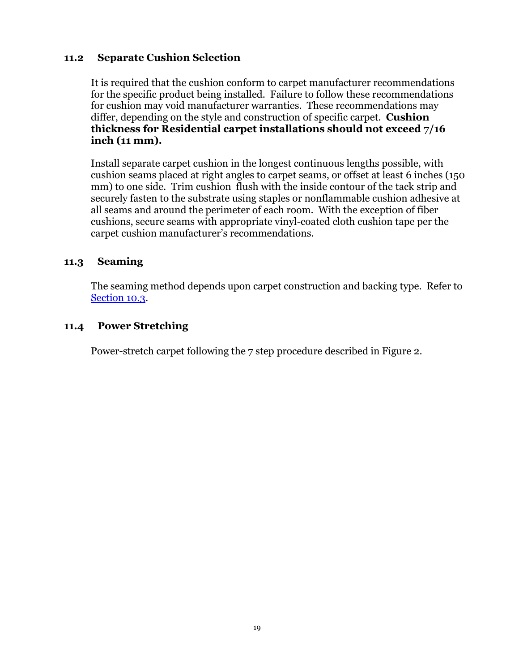## <span id="page-18-0"></span>**11.2 Separate Cushion Selection**

It is required that the cushion conform to carpet manufacturer recommendations for the specific product being installed. Failure to follow these recommendations for cushion may void manufacturer warranties. These recommendations may differ, depending on the style and construction of specific carpet. **Cushion thickness for Residential carpet installations should not exceed 7/16 inch (11 mm).**

Install separate carpet cushion in the longest continuous lengths possible, with cushion seams placed at right angles to carpet seams, or offset at least 6 inches (150 mm) to one side. Trim cushion flush with the inside contour of the tack strip and securely fasten to the substrate using staples or nonflammable cushion adhesive at all seams and around the perimeter of each room. With the exception of fiber cushions, secure seams with appropriate vinyl-coated cloth cushion tape per the carpet cushion manufacturer's recommendations.

## <span id="page-18-1"></span>**11.3 Seaming**

The seaming method depends upon carpet construction and backing type. Refer to [Section 10.3.](#page-15-4)

## <span id="page-18-2"></span>**11.4 Power Stretching**

Power-stretch carpet following the 7 step procedure described in Figure 2.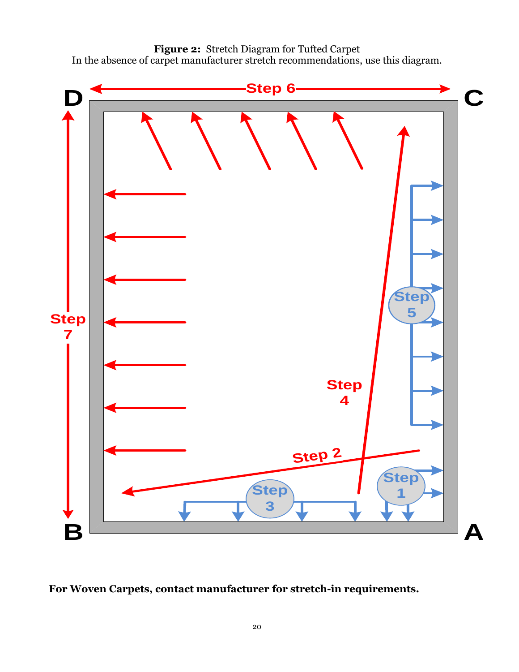



**For Woven Carpets, contact manufacturer for stretch-in requirements.**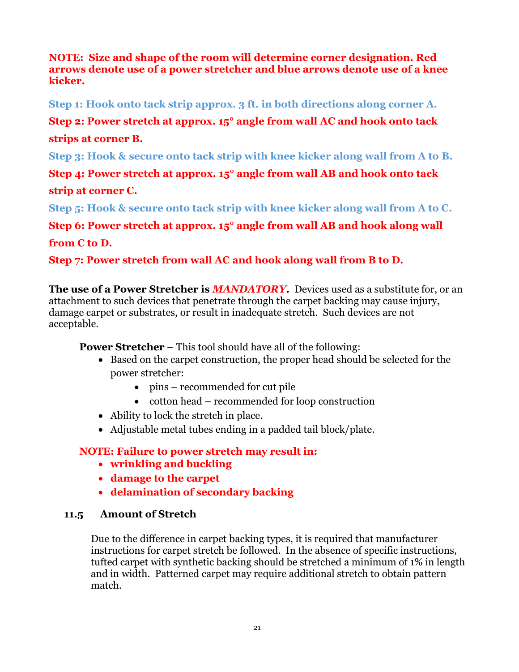## **NOTE: Size and shape of the room will determine corner designation. Red arrows denote use of a power stretcher and blue arrows denote use of a knee kicker.**

**Step 1: Hook onto tack strip approx. 3 ft. in both directions along corner A.**

**Step 2: Power stretch at approx. 15° angle from wall AC and hook onto tack** 

## **strips at corner B.**

**Step 3: Hook & secure onto tack strip with knee kicker along wall from A to B.**

**Step 4: Power stretch at approx. 15° angle from wall AB and hook onto tack strip at corner C.**

**Step 5: Hook & secure onto tack strip with knee kicker along wall from A to C.**

**Step 6: Power stretch at approx. 15° angle from wall AB and hook along wall from C to D.**

**Step 7: Power stretch from wall AC and hook along wall from B to D.**

**The use of a Power Stretcher is** *MANDATORY***.** Devices used as a substitute for, or an attachment to such devices that penetrate through the carpet backing may cause injury, damage carpet or substrates, or result in inadequate stretch. Such devices are not acceptable.

**Power Stretcher** – This tool should have all of the following:

- Based on the carpet construction, the proper head should be selected for the power stretcher:
	- pins recommended for cut pile
	- cotton head recommended for loop construction
- Ability to lock the stretch in place.
- Adjustable metal tubes ending in a padded tail block/plate.

## **NOTE: Failure to power stretch may result in:**

- **wrinkling and buckling**
- **damage to the carpet**
- <span id="page-20-0"></span>**delamination of secondary backing**

## **11.5 Amount of Stretch**

Due to the difference in carpet backing types, it is required that manufacturer instructions for carpet stretch be followed. In the absence of specific instructions, tufted carpet with synthetic backing should be stretched a minimum of 1% in length and in width. Patterned carpet may require additional stretch to obtain pattern match.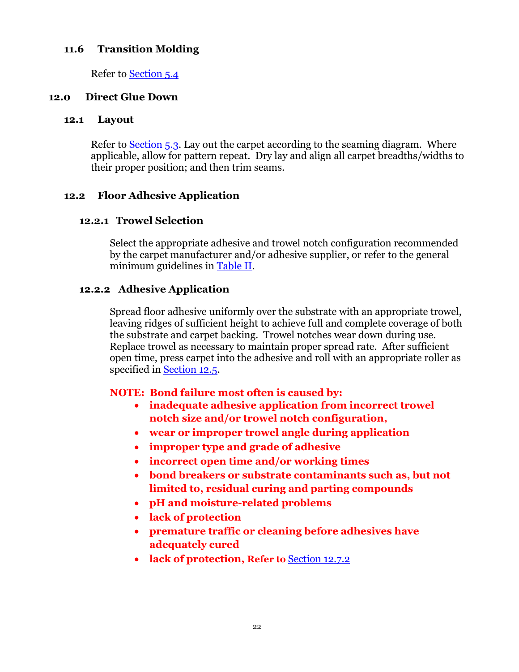## <span id="page-21-0"></span>**11.6 Transition Molding**

Refer to [Section 5.4](#page-8-4)

#### <span id="page-21-1"></span>**12.0 Direct Glue Down**

#### <span id="page-21-2"></span>**12.1 Layout**

Refer to [Section](#page-8-3) 5.3. Lay out the carpet according to the seaming diagram. Where applicable, allow for pattern repeat. Dry lay and align all carpet breadths/widths to their proper position; and then trim seams.

## <span id="page-21-3"></span>**12.2 Floor Adhesive Application**

#### **12.2.1 Trowel Selection**

Select the appropriate adhesive and trowel notch configuration recommended by the carpet manufacturer and/or adhesive supplier, or refer to the general minimum guidelines in Table II.

#### **12.2.2 Adhesive Application**

Spread floor adhesive uniformly over the substrate with an appropriate trowel, leaving ridges of sufficient height to achieve full and complete coverage of both the substrate and carpet backing. Trowel notches wear down during use. Replace trowel as necessary to maintain proper spread rate. After sufficient open time, press carpet into the adhesive and roll with an appropriate roller as specified in [Section 12.5.](#page-24-5)

#### **NOTE: Bond failure most often is caused by:**

- **inadequate adhesive application from incorrect trowel notch size and/or trowel notch configuration,**
- **wear or improper trowel angle during application**
- **improper type and grade of adhesive**
- **incorrect open time and/or working times**
- **bond breakers or substrate contaminants such as, but not limited to, residual curing and parting compounds**
- **pH and moisture-related problems**
- **lack of protection**
- **premature traffic or cleaning before adhesives have adequately cured**
- **lack of protection, Refer to** Section 12.7.2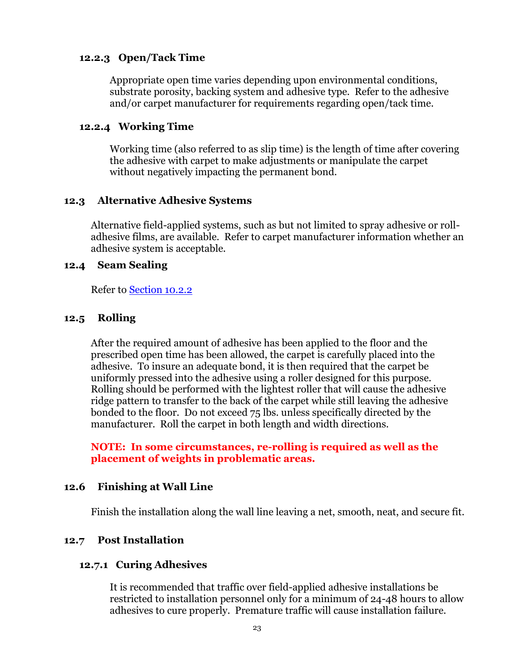#### <span id="page-22-5"></span>**12.2.3 Open/Tack Time**

Appropriate open time varies depending upon environmental conditions, substrate porosity, backing system and adhesive type. Refer to the adhesive and/or carpet manufacturer for requirements regarding open/tack time.

#### **12.2.4 Working Time**

Working time (also referred to as slip time) is the length of time after covering the adhesive with carpet to make adjustments or manipulate the carpet without negatively impacting the permanent bond.

#### <span id="page-22-0"></span>**12.3 Alternative Adhesive Systems**

Alternative field-applied systems, such as but not limited to spray adhesive or rolladhesive films, are available. Refer to carpet manufacturer information whether an adhesive system is acceptable.

#### <span id="page-22-1"></span>**12.4 Seam Sealing**

Refer to [Section 10.2.2](#page-15-5)

#### <span id="page-22-2"></span>**12.5 Rolling**

After the required amount of adhesive has been applied to the floor and the prescribed open time has been allowed, the carpet is carefully placed into the adhesive. To insure an adequate bond, it is then required that the carpet be uniformly pressed into the adhesive using a roller designed for this purpose. Rolling should be performed with the lightest roller that will cause the adhesive ridge pattern to transfer to the back of the carpet while still leaving the adhesive bonded to the floor. Do not exceed 75 lbs. unless specifically directed by the manufacturer. Roll the carpet in both length and width directions.

#### **NOTE: In some circumstances, re-rolling is required as well as the placement of weights in problematic areas.**

#### <span id="page-22-3"></span>**12.6 Finishing at Wall Line**

Finish the installation along the wall line leaving a net, smooth, neat, and secure fit.

#### <span id="page-22-6"></span><span id="page-22-4"></span>**12.7 Post Installation**

#### **12.7.1 Curing Adhesives**

It is recommended that traffic over field-applied adhesive installations be restricted to installation personnel only for a minimum of 24-48 hours to allow adhesives to cure properly. Premature traffic will cause installation failure.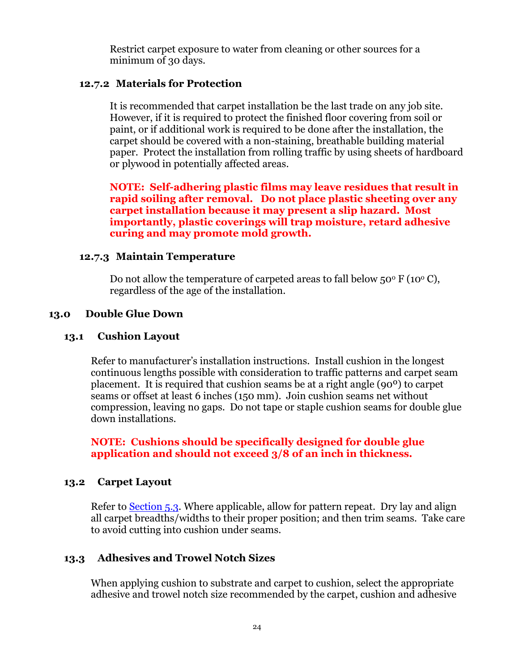Restrict carpet exposure to water from cleaning or other sources for a minimum of 30 days.

#### **12.7.2 Materials for Protection**

It is recommended that carpet installation be the last trade on any job site. However, if it is required to protect the finished floor covering from soil or paint, or if additional work is required to be done after the installation, the carpet should be covered with a non-staining, breathable building material paper. Protect the installation from rolling traffic by using sheets of hardboard or plywood in potentially affected areas.

**NOTE: Self-adhering plastic films may leave residues that result in rapid soiling after removal. Do not place plastic sheeting over any carpet installation because it may present a slip hazard. Most importantly, plastic coverings will trap moisture, retard adhesive curing and may promote mold growth.**

#### **12.7.3 Maintain Temperature**

Do not allow the temperature of carpeted areas to fall below  $50^{\circ}$  F (10<sup>o</sup> C), regardless of the age of the installation.

#### <span id="page-23-0"></span>**13.0 Double Glue Down**

#### <span id="page-23-1"></span>**13.1 Cushion Layout**

Refer to manufacturer's installation instructions. Install cushion in the longest continuous lengths possible with consideration to traffic patterns and carpet seam placement. It is required that cushion seams be at a right angle (90º) to carpet seams or offset at least 6 inches (150 mm). Join cushion seams net without compression, leaving no gaps. Do not tape or staple cushion seams for double glue down installations.

**NOTE: Cushions should be specifically designed for double glue application and should not exceed 3/8 of an inch in thickness.**

#### <span id="page-23-2"></span>**13.2 Carpet Layout**

Refer to <u>Section 5.3</u>. Where applicable, allow for pattern repeat. Dry lay and align all carpet breadths/widths to their proper position; and then trim seams. Take care to avoid cutting into cushion under seams.

## <span id="page-23-3"></span>**13.3 Adhesives and Trowel Notch Sizes**

When applying cushion to substrate and carpet to cushion, select the appropriate adhesive and trowel notch size recommended by the carpet, cushion and adhesive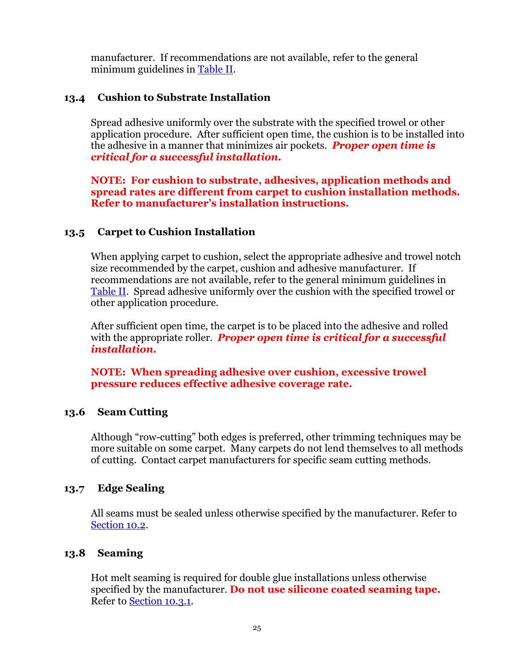manufacturer. If recommendations are not available, refer to the general minimum guidelines in Table II.

## <span id="page-24-0"></span>**13.4 Cushion to Substrate Installation**

Spread adhesive uniformly over the substrate with the specified trowel or other application procedure. After sufficient open time, the cushion is to be installed into the adhesive in a manner that minimizes air pockets. *Proper open time is critical for a successful installation.*

**NOTE: For cushion to substrate, adhesives, application methods and spread rates are different from carpet to cushion installation methods. Refer to manufacturer's installation instructions.**

## <span id="page-24-1"></span>**13.5 Carpet to Cushion Installation**

When applying carpet to cushion, select the appropriate adhesive and trowel notch size recommended by the carpet, cushion and adhesive manufacturer. If recommendations are not available, refer to the general minimum guidelines in Table II. Spread adhesive uniformly over the cushion with the specified trowel or other application procedure.

After sufficient open time, the carpet is to be placed into the adhesive and rolled with the appropriate roller. *Proper open time is critical for a successful installation.*

**NOTE: When spreading adhesive over cushion, excessive trowel pressure reduces effective adhesive coverage rate.**

#### <span id="page-24-2"></span>**13.6 Seam Cutting**

Although "row-cutting" both edges is preferred, other trimming techniques may be more suitable on some carpet. Many carpets do not lend themselves to all methods of cutting. Contact carpet manufacturers for specific seam cutting methods.

#### <span id="page-24-3"></span>**13.7 Edge Sealing**

All seams must be sealed unless otherwise specified by the manufacturer. Refer to [Section 10.2.](#page-15-6)

## <span id="page-24-4"></span>**13.8 Seaming**

<span id="page-24-5"></span>Hot melt seaming is required for double glue installations unless otherwise specified by the manufacturer. **Do not use silicone coated seaming tape.** Refer to [Section 10.3.1.](#page-16-1)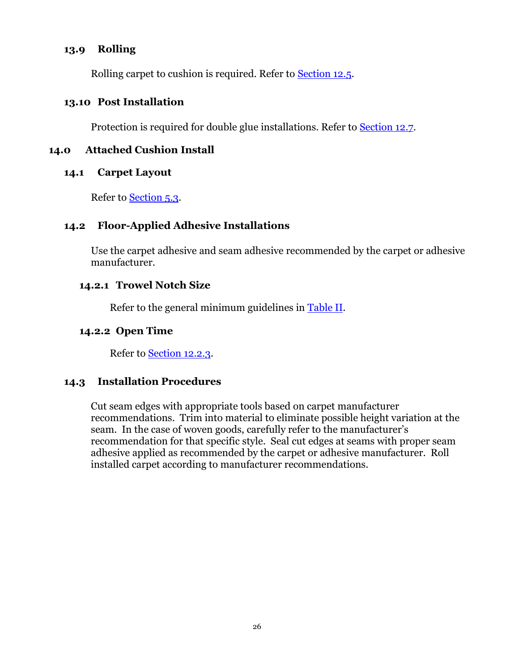## <span id="page-25-0"></span>**13.9 Rolling**

Rolling carpet to cushion is required. Refer to [Section 12.5.](#page-24-5)

#### <span id="page-25-6"></span><span id="page-25-1"></span>**13.10 Post Installation**

Protection is required for double glue installations. Refer to [Section 12.7.](#page-25-6)

#### <span id="page-25-2"></span>**14.0 Attached Cushion Install**

#### <span id="page-25-3"></span>**14.1 Carpet Layout**

Refer to [Section 5.3.](#page-8-3)

#### <span id="page-25-4"></span>**14.2 Floor-Applied Adhesive Installations**

Use the carpet adhesive and seam adhesive recommended by the carpet or adhesive manufacturer.

#### **14.2.1 Trowel Notch Size**

Refer to the general minimum guidelines in Table II.

#### **14.2.2 Open Time**

Refer to [Section 12.2.3.](#page-22-5)

#### <span id="page-25-5"></span>**14.3 Installation Procedures**

Cut seam edges with appropriate tools based on carpet manufacturer recommendations. Trim into material to eliminate possible height variation at the seam. In the case of woven goods, carefully refer to the manufacturer's recommendation for that specific style. Seal cut edges at seams with proper seam adhesive applied as recommended by the carpet or adhesive manufacturer. Roll installed carpet according to manufacturer recommendations.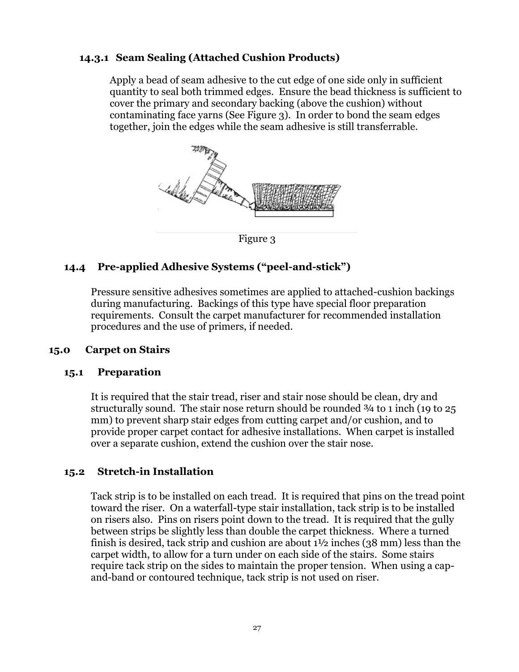## **14.3.1 Seam Sealing (Attached Cushion Products)**

Apply a bead of seam adhesive to the cut edge of one side only in sufficient quantity to seal both trimmed edges. Ensure the bead thickness is sufficient to cover the primary and secondary backing (above the cushion) without contaminating face yarns (See Figure 3). In order to bond the seam edges together, join the edges while the seam adhesive is still transferrable.



Figure 3

## <span id="page-26-4"></span><span id="page-26-0"></span>**14.4 Pre-applied Adhesive Systems ("peel-and-stick")**

Pressure sensitive adhesives sometimes are applied to attached-cushion backings during manufacturing. Backings of this type have special floor preparation requirements. Consult the carpet manufacturer for recommended installation procedures and the use of primers, if needed.

#### <span id="page-26-1"></span>**15.0 Carpet on Stairs**

#### <span id="page-26-2"></span>**15.1 Preparation**

It is required that the stair tread, riser and stair nose should be clean, dry and structurally sound. The stair nose return should be rounded ¾ to 1 inch (19 to 25 mm) to prevent sharp stair edges from cutting carpet and/or cushion, and to provide proper carpet contact for adhesive installations. When carpet is installed over a separate cushion, extend the cushion over the stair nose.

#### <span id="page-26-3"></span>**15.2 Stretch-in Installation**

Tack strip is to be installed on each tread. It is required that pins on the tread point toward the riser. On a waterfall-type stair installation, tack strip is to be installed on risers also. Pins on risers point down to the tread. It is required that the gully between strips be slightly less than double the carpet thickness. Where a turned finish is desired, tack strip and cushion are about  $1\frac{1}{2}$  inches (38 mm) less than the carpet width, to allow for a turn under on each side of the stairs. Some stairs require tack strip on the sides to maintain the proper tension. When using a capand-band or contoured technique, tack strip is not used on riser.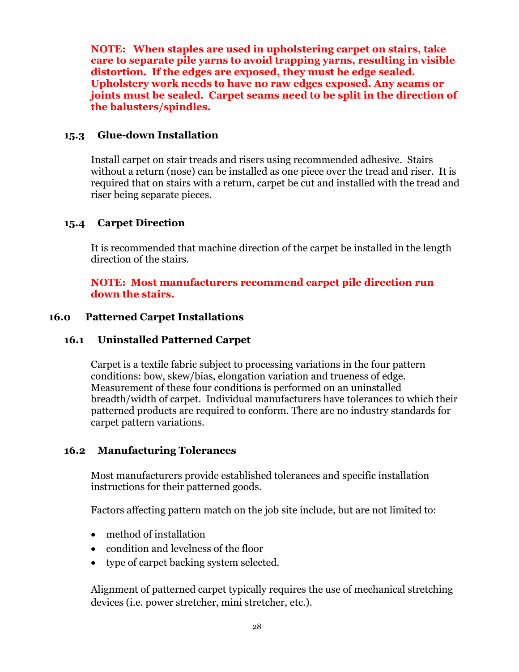**NOTE: When staples are used in upholstering carpet on stairs, take care to separate pile yarns to avoid trapping yarns, resulting in visible distortion. If the edges are exposed, they must be edge sealed. Upholstery work needs to have no raw edges exposed. Any seams or joints must be sealed. Carpet seams need to be split in the direction of the balusters/spindles.**

## <span id="page-27-0"></span>**15.3 Glue-down Installation**

Install carpet on stair treads and risers using recommended adhesive. Stairs without a return (nose) can be installed as one piece over the tread and riser. It is required that on stairs with a return, carpet be cut and installed with the tread and riser being separate pieces.

## <span id="page-27-1"></span>**15.4 Carpet Direction**

It is recommended that machine direction of the carpet be installed in the length direction of the stairs.

## **NOTE: Most manufacturers recommend carpet pile direction run down the stairs.**

## <span id="page-27-2"></span>**16.0 Patterned Carpet Installations**

## <span id="page-27-3"></span>**16.1 Uninstalled Patterned Carpet**

Carpet is a textile fabric subject to processing variations in the four pattern conditions: bow, skew/bias, elongation variation and trueness of edge. Measurement of these four conditions is performed on an uninstalled breadth/width of carpet. Individual manufacturers have tolerances to which their patterned products are required to conform. There are no industry standards for carpet pattern variations.

#### <span id="page-27-4"></span>**16.2 Manufacturing Tolerances**

Most manufacturers provide established tolerances and specific installation instructions for their patterned goods.

Factors affecting pattern match on the job site include, but are not limited to:

- method of installation
- condition and levelness of the floor
- type of carpet backing system selected.

Alignment of patterned carpet typically requires the use of mechanical stretching devices (i.e. power stretcher, mini stretcher, etc.).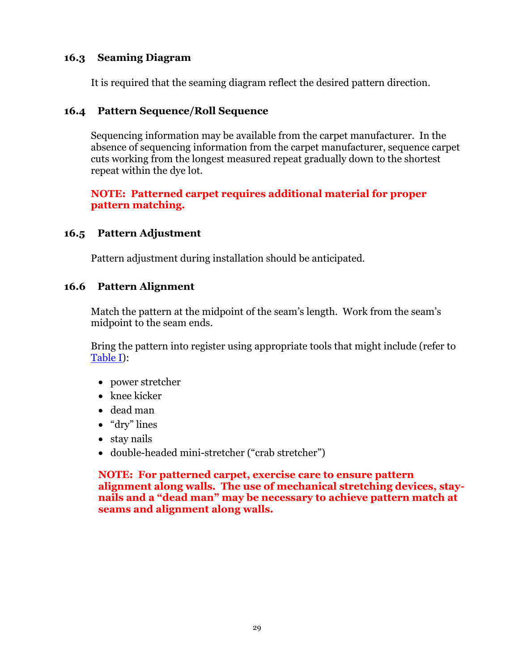## <span id="page-28-0"></span>**16.3 Seaming Diagram**

It is required that the seaming diagram reflect the desired pattern direction.

## <span id="page-28-1"></span>**16.4 Pattern Sequence/Roll Sequence**

Sequencing information may be available from the carpet manufacturer. In the absence of sequencing information from the carpet manufacturer, sequence carpet cuts working from the longest measured repeat gradually down to the shortest repeat within the dye lot.

## **NOTE: Patterned carpet requires additional material for proper pattern matching.**

## <span id="page-28-2"></span>**16.5 Pattern Adjustment**

Pattern adjustment during installation should be anticipated.

#### <span id="page-28-3"></span>**16.6 Pattern Alignment**

Match the pattern at the midpoint of the seam's length. Work from the seam's midpoint to the seam ends.

Bring the pattern into register using appropriate tools that might include (refer to Table I):

- power stretcher
- $\bullet$  knee kicker
- dead man
- "dry" lines
- stay nails
- double-headed mini-stretcher ("crab stretcher")

**NOTE: For patterned carpet, exercise care to ensure pattern alignment along walls. The use of mechanical stretching devices, staynails and a "dead man" may be necessary to achieve pattern match at seams and alignment along walls.**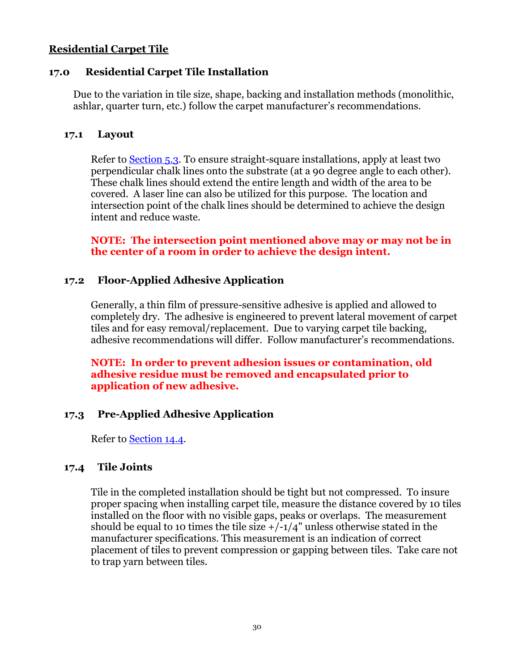#### **Residential Carpet Tile**

### <span id="page-29-0"></span>**17.0 Residential Carpet Tile Installation**

Due to the variation in tile size, shape, backing and installation methods (monolithic, ashlar, quarter turn, etc.) follow the carpet manufacturer's recommendations.

#### <span id="page-29-1"></span>**17.1 Layout**

Refer to [Section 5.3.](#page-8-3) To ensure straight-square installations, apply at least two perpendicular chalk lines onto the substrate (at a 90 degree angle to each other). These chalk lines should extend the entire length and width of the area to be covered. A laser line can also be utilized for this purpose. The location and intersection point of the chalk lines should be determined to achieve the design intent and reduce waste.

**NOTE: The intersection point mentioned above may or may not be in the center of a room in order to achieve the design intent.**

## <span id="page-29-2"></span>**17.2 Floor-Applied Adhesive Application**

Generally, a thin film of pressure-sensitive adhesive is applied and allowed to completely dry. The adhesive is engineered to prevent lateral movement of carpet tiles and for easy removal/replacement. Due to varying carpet tile backing, adhesive recommendations will differ. Follow manufacturer's recommendations.

#### **NOTE: In order to prevent adhesion issues or contamination, old adhesive residue must be removed and encapsulated prior to application of new adhesive.**

## <span id="page-29-3"></span>**17.3 Pre-Applied Adhesive Application**

Refer to [Section 14.4.](#page-26-4)

#### <span id="page-29-4"></span>**17.4 Tile Joints**

Tile in the completed installation should be tight but not compressed. To insure proper spacing when installing carpet tile, measure the distance covered by 10 tiles installed on the floor with no visible gaps, peaks or overlaps. The measurement should be equal to 10 times the tile size  $+/-1/4$ " unless otherwise stated in the manufacturer specifications. This measurement is an indication of correct placement of tiles to prevent compression or gapping between tiles. Take care not to trap yarn between tiles.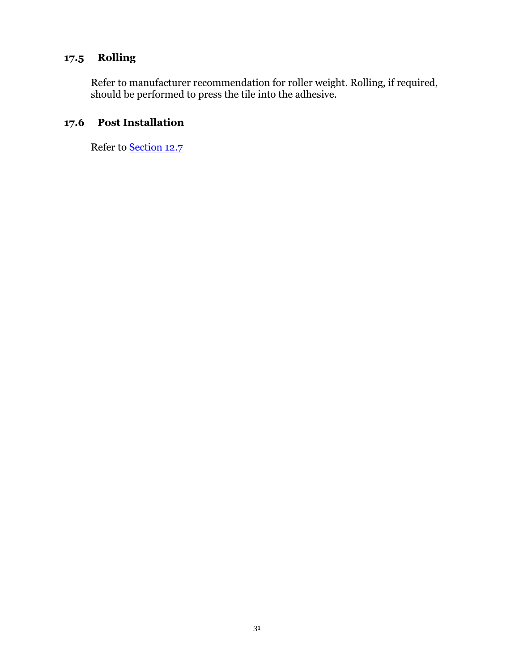## <span id="page-30-0"></span>**17.5 Rolling**

Refer to manufacturer recommendation for roller weight. Rolling, if required, should be performed to press the tile into the adhesive.

## <span id="page-30-1"></span>**17.6 Post Installation**

Refer to [Section 12.7](#page-22-6)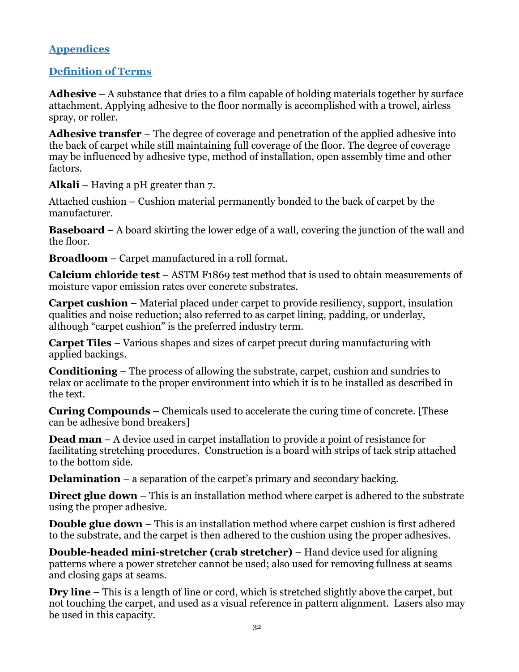## <span id="page-31-0"></span>**Appendices**

## <span id="page-31-1"></span>**Definition of Terms**

**Adhesive** – A substance that dries to a film capable of holding materials together by surface attachment. Applying adhesive to the floor normally is accomplished with a trowel, airless spray, or roller.

**Adhesive transfer** – The degree of coverage and penetration of the applied adhesive into the back of carpet while still maintaining full coverage of the floor. The degree of coverage may be influenced by adhesive type, method of installation, open assembly time and other factors.

**Alkali** – Having a pH greater than 7.

Attached cushion – Cushion material permanently bonded to the back of carpet by the manufacturer.

**Baseboard** – A board skirting the lower edge of a wall, covering the junction of the wall and the floor.

**Broadloom** – Carpet manufactured in a roll format.

**Calcium chloride test** – ASTM F1869 test method that is used to obtain measurements of moisture vapor emission rates over concrete substrates.

**Carpet cushion** – Material placed under carpet to provide resiliency, support, insulation qualities and noise reduction; also referred to as carpet lining, padding, or underlay, although "carpet cushion" is the preferred industry term.

**Carpet Tiles** – Various shapes and sizes of carpet precut during manufacturing with applied backings.

**Conditioning** – The process of allowing the substrate, carpet, cushion and sundries to relax or acclimate to the proper environment into which it is to be installed as described in the text.

**Curing Compounds** – Chemicals used to accelerate the curing time of concrete. [These can be adhesive bond breakers]

**Dead man** – A device used in carpet installation to provide a point of resistance for facilitating stretching procedures. Construction is a board with strips of tack strip attached to the bottom side.

**Delamination** – a separation of the carpet's primary and secondary backing.

**Direct glue down** – This is an installation method where carpet is adhered to the substrate using the proper adhesive.

**Double glue down** – This is an installation method where carpet cushion is first adhered to the substrate, and the carpet is then adhered to the cushion using the proper adhesives.

**Double-headed mini-stretcher (crab stretcher)** – Hand device used for aligning patterns where a power stretcher cannot be used; also used for removing fullness at seams and closing gaps at seams.

**Dry line** – This is a length of line or cord, which is stretched slightly above the carpet, but not touching the carpet, and used as a visual reference in pattern alignment. Lasers also may be used in this capacity.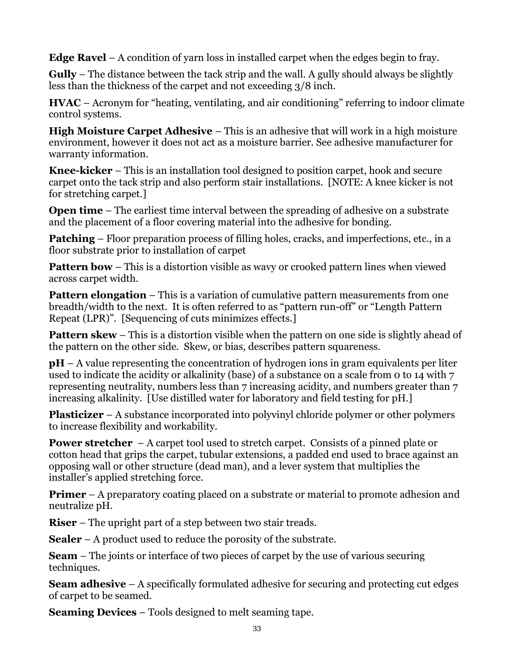**Edge Ravel** – A condition of yarn loss in installed carpet when the edges begin to fray.

**Gully** – The distance between the tack strip and the wall. A gully should always be slightly less than the thickness of the carpet and not exceeding 3/8 inch.

**HVAC** – Acronym for "heating, ventilating, and air conditioning" referring to indoor climate control systems.

**High Moisture Carpet Adhesive** – This is an adhesive that will work in a high moisture environment, however it does not act as a moisture barrier. See adhesive manufacturer for warranty information.

**Knee-kicker** – This is an installation tool designed to position carpet, hook and secure carpet onto the tack strip and also perform stair installations. [NOTE: A knee kicker is not for stretching carpet.]

**Open time** – The earliest time interval between the spreading of adhesive on a substrate and the placement of a floor covering material into the adhesive for bonding.

**Patching** – Floor preparation process of filling holes, cracks, and imperfections, etc., in a floor substrate prior to installation of carpet

**Pattern bow** – This is a distortion visible as wavy or crooked pattern lines when viewed across carpet width.

**Pattern elongation** – This is a variation of cumulative pattern measurements from one breadth/width to the next. It is often referred to as "pattern run-off" or "Length Pattern Repeat (LPR)". [Sequencing of cuts minimizes effects.]

**Pattern skew** – This is a distortion visible when the pattern on one side is slightly ahead of the pattern on the other side. Skew, or bias, describes pattern squareness.

**pH** – A value representing the concentration of hydrogen ions in gram equivalents per liter used to indicate the acidity or alkalinity (base) of a substance on a scale from 0 to 14 with 7 representing neutrality, numbers less than 7 increasing acidity, and numbers greater than 7 increasing alkalinity. [Use distilled water for laboratory and field testing for pH.]

**Plasticizer** – A substance incorporated into polyvinyl chloride polymer or other polymers to increase flexibility and workability.

**Power stretcher** – A carpet tool used to stretch carpet. Consists of a pinned plate or cotton head that grips the carpet, tubular extensions, a padded end used to brace against an opposing wall or other structure (dead man), and a lever system that multiplies the installer's applied stretching force.

**Primer** – A preparatory coating placed on a substrate or material to promote adhesion and neutralize pH.

**Riser** – The upright part of a step between two stair treads.

**Sealer** – A product used to reduce the porosity of the substrate.

**Seam** – The joints or interface of two pieces of carpet by the use of various securing techniques.

**Seam adhesive** – A specifically formulated adhesive for securing and protecting cut edges of carpet to be seamed.

**Seaming Devices** – Tools designed to melt seaming tape.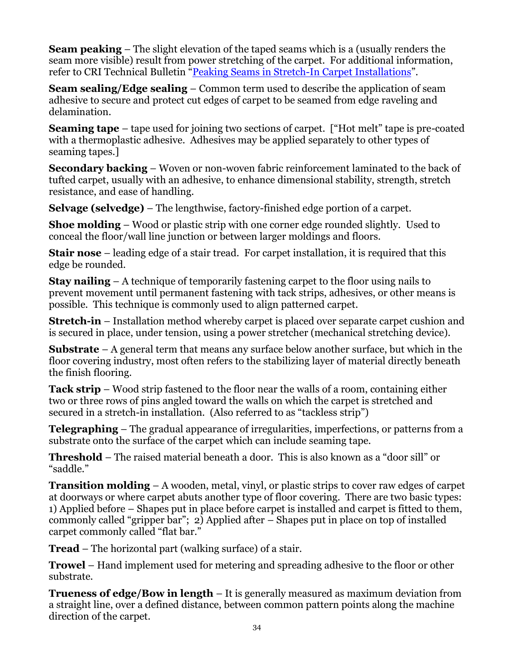**Seam peaking** – The slight elevation of the taped seams which is a (usually renders the seam more visible) result from power stretching of the carpet. For additional information, refer to CRI Technical Bulletin "[Peaking Seams in Stretch-In Carpet Installations](https://www.google.com/url?sa=t&rct=j&q=&esrc=s&source=web&cd=1&cad=rja&uact=8&ved=0CB4QFjAA&url=https%3A%2F%2Fwww.carpet-rug.org%2FDocuments%2FTechnical_Bulletins%2F2008_Peaked_Seams_in_Stretch-In_Carpet_Installatio.pdf&ei=u79TVfjZM8j6sAWL1IDAAw&usg=AFQjCNE0ZBZGaki0Tsj7VHmbjLzCW5iXhA&sig2=1TIMD6HF0xpqauFjoQo6Lg&bvm=bv.93112503,d.b2w)".

**Seam sealing/Edge sealing** – Common term used to describe the application of seam adhesive to secure and protect cut edges of carpet to be seamed from edge raveling and delamination.

**Seaming tape** – tape used for joining two sections of carpet. ["Hot melt" tape is pre-coated with a thermoplastic adhesive. Adhesives may be applied separately to other types of seaming tapes.]

**Secondary backing** – Woven or non-woven fabric reinforcement laminated to the back of tufted carpet, usually with an adhesive, to enhance dimensional stability, strength, stretch resistance, and ease of handling.

**Selvage (selvedge)** – The lengthwise, factory-finished edge portion of a carpet.

**Shoe molding** – Wood or plastic strip with one corner edge rounded slightly. Used to conceal the floor/wall line junction or between larger moldings and floors.

**Stair nose** – leading edge of a stair tread. For carpet installation, it is required that this edge be rounded.

**Stay nailing** – A technique of temporarily fastening carpet to the floor using nails to prevent movement until permanent fastening with tack strips, adhesives, or other means is possible. This technique is commonly used to align patterned carpet.

**Stretch-in** – Installation method whereby carpet is placed over separate carpet cushion and is secured in place, under tension, using a power stretcher (mechanical stretching device).

**Substrate** – A general term that means any surface below another surface, but which in the floor covering industry, most often refers to the stabilizing layer of material directly beneath the finish flooring.

**Tack strip** – Wood strip fastened to the floor near the walls of a room, containing either two or three rows of pins angled toward the walls on which the carpet is stretched and secured in a stretch-in installation. (Also referred to as "tackless strip")

**Telegraphing** – The gradual appearance of irregularities, imperfections, or patterns from a substrate onto the surface of the carpet which can include seaming tape.

**Threshold** – The raised material beneath a door. This is also known as a "door sill" or "saddle."

**Transition molding** – A wooden, metal, vinyl, or plastic strips to cover raw edges of carpet at doorways or where carpet abuts another type of floor covering. There are two basic types: 1) Applied before – Shapes put in place before carpet is installed and carpet is fitted to them, commonly called "gripper bar"; 2) Applied after – Shapes put in place on top of installed carpet commonly called "flat bar."

**Tread** – The horizontal part (walking surface) of a stair.

**Trowel** – Hand implement used for metering and spreading adhesive to the floor or other substrate.

**Trueness of edge/Bow in length** – It is generally measured as maximum deviation from a straight line, over a defined distance, between common pattern points along the machine direction of the carpet.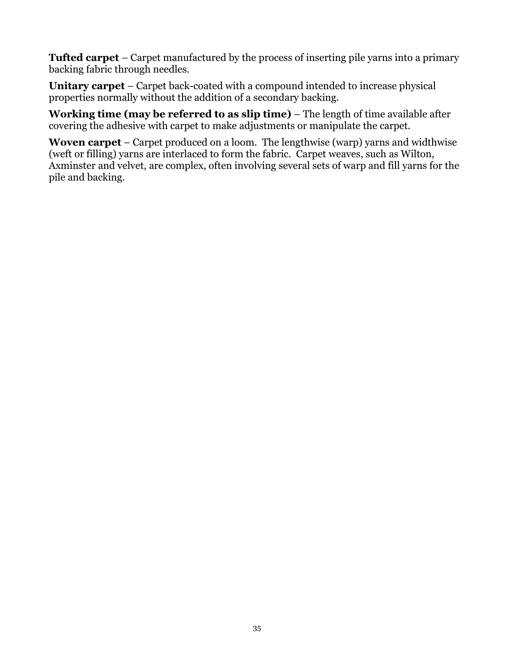**Tufted carpet** – Carpet manufactured by the process of inserting pile yarns into a primary backing fabric through needles.

**Unitary carpet** – Carpet back-coated with a compound intended to increase physical properties normally without the addition of a secondary backing.

**Working time (may be referred to as slip time)** – The length of time available after covering the adhesive with carpet to make adjustments or manipulate the carpet.

**Woven carpet** – Carpet produced on a loom. The lengthwise (warp) yarns and widthwise (weft or filling) yarns are interlaced to form the fabric. Carpet weaves, such as Wilton, Axminster and velvet, are complex, often involving several sets of warp and fill yarns for the pile and backing.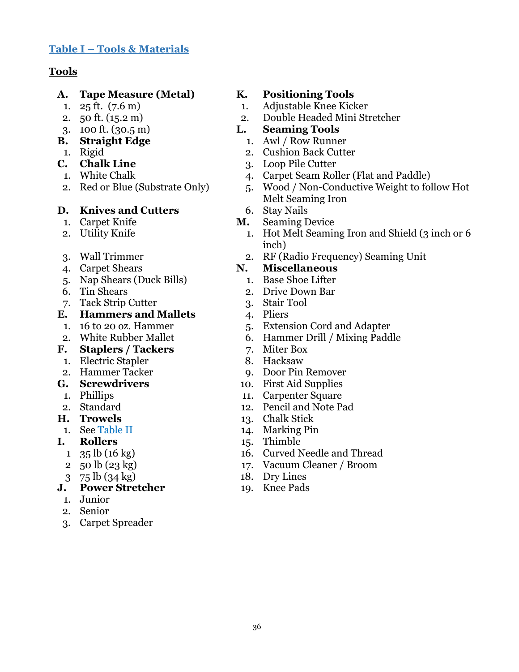## <span id="page-35-0"></span>**Table I – Tools & Materials**

## **Tools**

## **A. Tape Measure (Metal) K. Positioning Tools**

- 
- 
- 
- 
- 
- 
- 
- 

#### **D. Knives and Cutters** 6. Stay Nails

- 
- 
- 
- 
- 5. Nap Shears (Duck Bills) 1. Base Shoe Lifter
- 
- 7. Tack Strip Cutter 3. Stair Tool

## **E. Hammers and Mallets** 4. Pliers

- 
- 
- **F. Staplers / Tackers** 7. Miter Box
- 1. Electric Stapler 8. Hacksaw
- 
- 
- 
- 
- 
- 

## **I. Rollers** 15. Thimble

- 
- 
- 

## **J. Power Stretcher** 19. Knee Pads

- 1. Junior
- 2. Senior
- 3. Carpet Spreader

- 1. 25 ft. (7.6 m) 1. Adjustable Knee Kicker
- 2. 50 ft. (15.2 m) 2. Double Headed Mini Stretcher

## 3. 100 ft. (30.5 m) **L. Seaming Tools**

- **B. Straight Edge** 1. Awl / Row Runner
	- 1. Rigid 2. Cushion Back Cutter
- **C. Chalk Line** 3. Loop Pile Cutter
	- 1. White Chalk 4. Carpet Seam Roller (Flat and Paddle)
- 2. Red or Blue (Substrate Only) 5. Wood / Non-Conductive Weight to follow Hot Melt Seaming Iron

- 1. Carpet Knife **M.** Seaming Device
- 2. Utility Knife 1. Hot Melt Seaming Iron and Shield (3 inch or 6 inch)
- 3. Wall Trimmer 2. RF (Radio Frequency) Seaming Unit

## 4. Carpet Shears **N. Miscellaneous**

- 
- 6. Tin Shears 2. Drive Down Bar
	-
	-
- 1. 16 to 20 oz. Hammer 5. Extension Cord and Adapter
- 2. White Rubber Mallet 6. Hammer Drill / Mixing Paddle
	-
	-
- 2. Hammer Tacker 9. Door Pin Remover
- **G. Screwdrivers** 10. First Aid Supplies
	- 1. Phillips 11. Carpenter Square
- 2. Standard 12. Pencil and Note Pad
- **H. Trowels** 13. Chalk Stick
	- 1. See Table II 14. Marking Pin
		-
	- 1 35 lb (16 kg) 16. Curved Needle and Thread
	- 2 50 lb (23 kg) 17. Vacuum Cleaner / Broom
	- 3 75 lb (34 kg) 18. Dry Lines
		-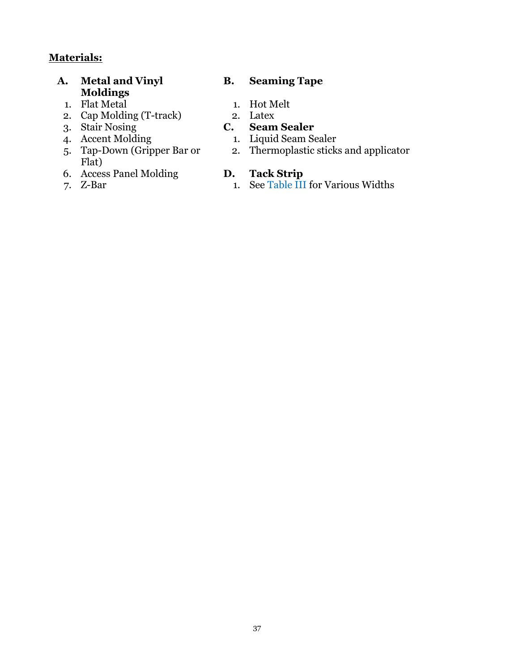## **Materials:**

- **A. Metal and Vinyl Moldings**
	- 1. Flat Metal 1. Hot Melt
	- 2. Cap Molding (T-track) 2. Latex<br>
	3. Stair Nosing **C. Seam Sealer**
	-
	- 3. Stair Nosing<br>4. Accent Molding
	- 5. Tap-Down (Gripper Bar or Flat)
	- 6. Access Panel Molding **D.**
	-

## **B. Seaming Tape**

- 
- 

- 1. Liquid Seam Sealer
- 2. Thermoplastic sticks and applicator

7. Z-Bar 1. See Table III for Various Widths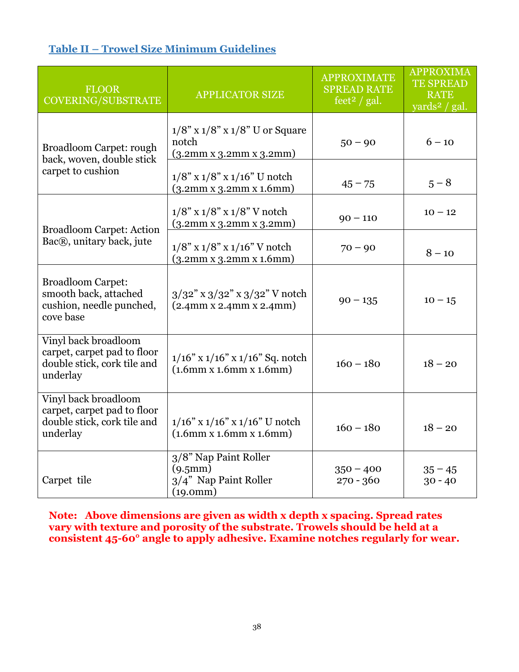## <span id="page-37-0"></span>**Table II – Trowel Size Minimum Guidelines**

| <b>FLOOR</b><br><b>COVERING/SUBSTRATE</b>                                                      | <b>APPLICATOR SIZE</b>                                                          | <b>APPROXIMATE</b><br><b>SPREAD RATE</b><br>feet <sup>2</sup> / gal. | <b>APPROXIMA</b><br><b>TE SPREAD</b><br><b>RATE</b><br>yards <sup>2</sup> / gal. |
|------------------------------------------------------------------------------------------------|---------------------------------------------------------------------------------|----------------------------------------------------------------------|----------------------------------------------------------------------------------|
| <b>Broadloom Carpet: rough</b><br>back, woven, double stick                                    | $1/8$ " x $1/8$ " x $1/8$ " U or Square<br>notch<br>(3.2mm x 3.2mm x 3.2mm)     | $50 - 90$                                                            | $6 - 10$                                                                         |
| carpet to cushion                                                                              | $1/8$ " x $1/8$ " x $1/16$ " U notch<br>(3.2mm x 3.2mm x 1.6mm)                 | $45 - 75$                                                            | $5 - 8$                                                                          |
| <b>Broadloom Carpet: Action</b>                                                                | $1/8$ " x $1/8$ " x $1/8$ " V notch<br>(3.2mm x 3.2mm x 3.2mm)                  | $90 - 110$                                                           | $10 - 12$                                                                        |
| Bac®, unitary back, jute                                                                       | $1/8$ " x $1/8$ " x $1/16$ " V notch<br>(3.2mm x 3.2mm x 1.6mm)                 | $70 - 90$                                                            | $8 - 10$                                                                         |
| <b>Broadloom Carpet:</b><br>smooth back, attached<br>cushion, needle punched,<br>cove base     | $3/32$ " x $3/32$ " x $3/32$ " V notch<br>$(2.4$ mm x 2.4mm x 2.4mm)            | $90 - 135$                                                           | $10 - 15$                                                                        |
| Vinyl back broadloom<br>carpet, carpet pad to floor<br>double stick, cork tile and<br>underlay | $1/16$ " x $1/16$ " x $1/16$ " Sq. notch<br>$(1.6$ mm x $1.6$ mm x $1.6$ mm $)$ | $160 - 180$                                                          | $18 - 20$                                                                        |
| Vinyl back broadloom<br>carpet, carpet pad to floor<br>double stick, cork tile and<br>underlay | $1/16$ " x $1/16$ " x $1/16$ " U notch<br>$(1.6$ mm x $1.6$ mm x $1.6$ mm $)$   | $160 - 180$                                                          | $18 - 20$                                                                        |
| Carpet tile                                                                                    | 3/8" Nap Paint Roller<br>(9.5mm)<br>3/4" Nap Paint Roller<br>(19.0mm)           | $350 - 400$<br>$270 - 360$                                           | $35 - 45$<br>$30 - 40$                                                           |

**Note: Above dimensions are given as width x depth x spacing. Spread rates vary with texture and porosity of the substrate. Trowels should be held at a consistent 45-60° angle to apply adhesive. Examine notches regularly for wear.**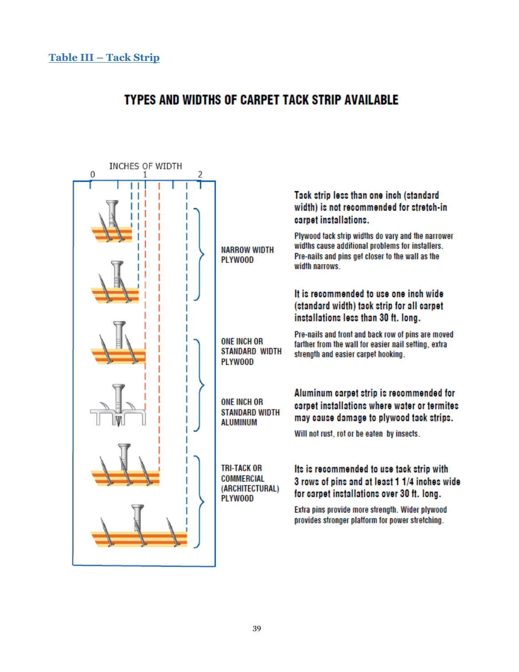# <span id="page-38-0"></span>TYPES AND WIDTHS OF CARPET TACK STRIP AVAILABLE

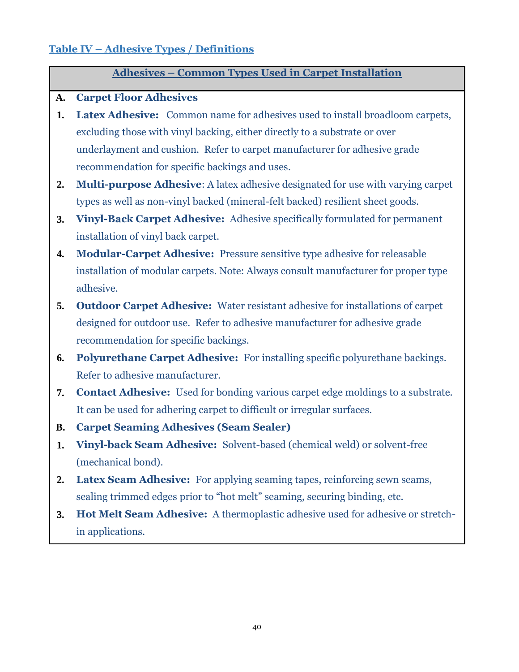## <span id="page-39-0"></span>**Table IV – Adhesive Types / Definitions**

## **Adhesives – Common Types Used in Carpet Installation**

## **A. Carpet Floor Adhesives**

- **1. Latex Adhesive:** Common name for adhesives used to install broadloom carpets, excluding those with vinyl backing, either directly to a substrate or over underlayment and cushion. Refer to carpet manufacturer for adhesive grade recommendation for specific backings and uses.
- **2. Multi-purpose Adhesive**: A latex adhesive designated for use with varying carpet types as well as non-vinyl backed (mineral-felt backed) resilient sheet goods.
- **3. Vinyl-Back Carpet Adhesive:** Adhesive specifically formulated for permanent installation of vinyl back carpet.
- **4. Modular-Carpet Adhesive:** Pressure sensitive type adhesive for releasable installation of modular carpets. Note: Always consult manufacturer for proper type adhesive.
- **5. Outdoor Carpet Adhesive:** Water resistant adhesive for installations of carpet designed for outdoor use. Refer to adhesive manufacturer for adhesive grade recommendation for specific backings.
- **6. Polyurethane Carpet Adhesive:** For installing specific polyurethane backings. Refer to adhesive manufacturer.
- **7. Contact Adhesive:** Used for bonding various carpet edge moldings to a substrate. It can be used for adhering carpet to difficult or irregular surfaces.
- **B. Carpet Seaming Adhesives (Seam Sealer)**
- **1. Vinyl-back Seam Adhesive:** Solvent-based (chemical weld) or solvent-free (mechanical bond).
- **2. Latex Seam Adhesive:** For applying seaming tapes, reinforcing sewn seams, sealing trimmed edges prior to "hot melt" seaming, securing binding, etc.
- **3. Hot Melt Seam Adhesive:** A thermoplastic adhesive used for adhesive or stretchin applications.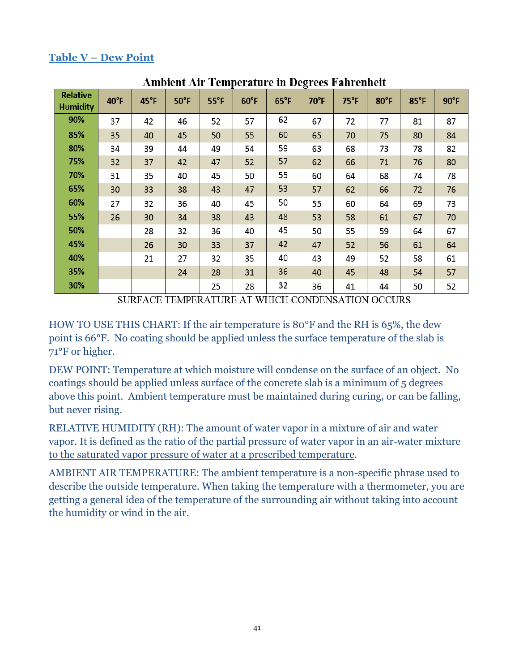## <span id="page-40-0"></span>**Table V – Dew Point**

| Ашленетан тенірегисите ін деятеся ғингенісі |                |                |                |                |                |                |      |               |      |                |                |
|---------------------------------------------|----------------|----------------|----------------|----------------|----------------|----------------|------|---------------|------|----------------|----------------|
| <b>Relative</b><br><b>Humidity</b>          | $40^{\circ}$ F | $45^{\circ}$ F | $50^{\circ}$ F | $55^{\circ}$ F | $60^{\circ}$ F | $65^{\circ}$ F | 70°F | $75^{\circ}F$ | 80°F | $85^{\circ}$ F | $90^{\circ}$ F |
| 90%                                         | 37             | 42             | 46             | 52             | 57             | 62             | 67   | 72            | 77   | 81             | 87             |
| 85%                                         | 35             | 40             | 45             | 50             | 55             | 60             | 65   | 70            | 75   | 80             | 84             |
| 80%                                         | 34             | 39             | 44             | 49             | 54             | 59             | 63   | 68            | 73   | 78             | 82             |
| 75%                                         | 32             | 37             | 42             | 47             | 52             | 57             | 62   | 66            | 71   | 76             | 80             |
| 70%                                         | 31             | 35             | 40             | 45             | 50             | 55             | 60   | 64            | 68   | 74             | 78             |
| 65%                                         | 30             | 33             | 38             | 43             | 47             | 53             | 57   | 62            | 66   | 72             | 76             |
| 60%                                         | 27             | 32             | 36             | 40             | 45             | 50             | 55   | 60            | 64   | 69             | 73             |
| 55%                                         | 26             | 30             | 34             | 38             | 43             | 48             | 53   | 58            | 61   | 67             | 70             |
| 50%                                         |                | 28             | 32             | 36             | 40             | 45             | 50   | 55            | 59   | 64             | 67             |
| 45%                                         |                | 26             | 30             | 33             | 37             | 42             | 47   | 52            | 56   | 61             | 64             |
| 40%                                         |                | 21             | 27             | 32             | 35             | 40             | 43   | 49            | 52   | 58             | 61             |
| 35%                                         |                |                | 24             | 28             | 31             | 36             | 40   | 45            | 48   | 54             | 57             |
| 30%                                         |                |                |                | 25             | 28             | 32             | 36   | 41            | 44   | 50             | 52             |

Ambiant Air Tamparatura in Dagraes Fahranhait

SURFACE TEMPERATURE AT WHICH CONDENSATION OCCURS

HOW TO USE THIS CHART: If the air temperature is 80°F and the RH is 65%, the dew point is 66°F. No coating should be applied unless the surface temperature of the slab is 71°F or higher.

DEW POINT: Temperature at which moisture will condense on the surface of an object. No coatings should be applied unless surface of the concrete slab is a minimum of 5 degrees above this point. Ambient temperature must be maintained during curing, or can be falling, but never rising.

RELATIVE HUMIDITY (RH): The amount of water vapor in a mixture of air and water vapor. It is defined as the ratio of the partial pressure of water vapor in an air-water mixture to the saturated vapor pressure of water at a prescribed temperature.

<span id="page-40-1"></span>AMBIENT AIR TEMPERATURE: The ambient temperature is a non-specific phrase used to describe the outside temperature. When taking the temperature with a thermometer, you are getting a general idea of the temperature of the surrounding air without taking into account the humidity or wind in the air.